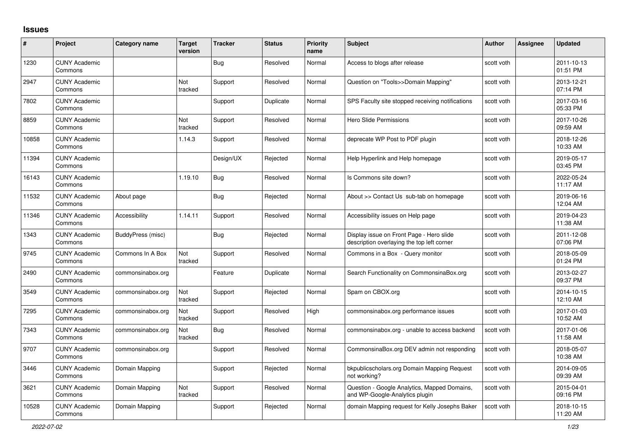## **Issues**

| #     | Project                         | Category name     | <b>Target</b><br>version | <b>Tracker</b> | <b>Status</b> | <b>Priority</b><br>name | <b>Subject</b>                                                                         | Author     | <b>Assignee</b> | <b>Updated</b>         |
|-------|---------------------------------|-------------------|--------------------------|----------------|---------------|-------------------------|----------------------------------------------------------------------------------------|------------|-----------------|------------------------|
| 1230  | <b>CUNY Academic</b><br>Commons |                   |                          | <b>Bug</b>     | Resolved      | Normal                  | Access to blogs after release                                                          | scott voth |                 | 2011-10-13<br>01:51 PM |
| 2947  | <b>CUNY Academic</b><br>Commons |                   | Not<br>tracked           | Support        | Resolved      | Normal                  | Question on "Tools>>Domain Mapping"                                                    | scott voth |                 | 2013-12-21<br>07:14 PM |
| 7802  | <b>CUNY Academic</b><br>Commons |                   |                          | Support        | Duplicate     | Normal                  | SPS Faculty site stopped receiving notifications                                       | scott voth |                 | 2017-03-16<br>05:33 PM |
| 8859  | <b>CUNY Academic</b><br>Commons |                   | Not<br>tracked           | Support        | Resolved      | Normal                  | <b>Hero Slide Permissions</b>                                                          | scott voth |                 | 2017-10-26<br>09:59 AM |
| 10858 | <b>CUNY Academic</b><br>Commons |                   | 1.14.3                   | Support        | Resolved      | Normal                  | deprecate WP Post to PDF plugin                                                        | scott voth |                 | 2018-12-26<br>10:33 AM |
| 11394 | <b>CUNY Academic</b><br>Commons |                   |                          | Design/UX      | Rejected      | Normal                  | Help Hyperlink and Help homepage                                                       | scott voth |                 | 2019-05-17<br>03:45 PM |
| 16143 | <b>CUNY Academic</b><br>Commons |                   | 1.19.10                  | <b>Bug</b>     | Resolved      | Normal                  | Is Commons site down?                                                                  | scott voth |                 | 2022-05-24<br>11:17 AM |
| 11532 | <b>CUNY Academic</b><br>Commons | About page        |                          | Bug            | Rejected      | Normal                  | About >> Contact Us sub-tab on homepage                                                | scott voth |                 | 2019-06-16<br>12:04 AM |
| 11346 | <b>CUNY Academic</b><br>Commons | Accessibility     | 1.14.11                  | Support        | Resolved      | Normal                  | Accessibility issues on Help page                                                      | scott voth |                 | 2019-04-23<br>11:38 AM |
| 1343  | <b>CUNY Academic</b><br>Commons | BuddyPress (misc) |                          | Bug            | Rejected      | Normal                  | Display issue on Front Page - Hero slide<br>description overlaying the top left corner | scott voth |                 | 2011-12-08<br>07:06 PM |
| 9745  | <b>CUNY Academic</b><br>Commons | Commons In A Box  | Not<br>tracked           | Support        | Resolved      | Normal                  | Commons in a Box - Query monitor                                                       | scott voth |                 | 2018-05-09<br>01:24 PM |
| 2490  | <b>CUNY Academic</b><br>Commons | commonsinabox.org |                          | Feature        | Duplicate     | Normal                  | Search Functionality on CommonsinaBox.org                                              | scott voth |                 | 2013-02-27<br>09:37 PM |
| 3549  | <b>CUNY Academic</b><br>Commons | commonsinabox.org | Not<br>tracked           | Support        | Rejected      | Normal                  | Spam on CBOX.org                                                                       | scott voth |                 | 2014-10-15<br>12:10 AM |
| 7295  | <b>CUNY Academic</b><br>Commons | commonsinabox.org | Not<br>tracked           | Support        | Resolved      | High                    | commonsinabox.org performance issues                                                   | scott voth |                 | 2017-01-03<br>10:52 AM |
| 7343  | <b>CUNY Academic</b><br>Commons | commonsinabox.org | Not<br>tracked           | Bug            | Resolved      | Normal                  | commonsinabox.org - unable to access backend                                           | scott voth |                 | 2017-01-06<br>11:58 AM |
| 9707  | <b>CUNY Academic</b><br>Commons | commonsinabox.org |                          | Support        | Resolved      | Normal                  | CommonsinaBox.org DEV admin not responding                                             | scott voth |                 | 2018-05-07<br>10:38 AM |
| 3446  | <b>CUNY Academic</b><br>Commons | Domain Mapping    |                          | Support        | Rejected      | Normal                  | bkpublicscholars.org Domain Mapping Request<br>not working?                            | scott voth |                 | 2014-09-05<br>09:39 AM |
| 3621  | <b>CUNY Academic</b><br>Commons | Domain Mapping    | Not<br>tracked           | Support        | Resolved      | Normal                  | Question - Google Analytics, Mapped Domains,<br>and WP-Google-Analytics plugin         | scott voth |                 | 2015-04-01<br>09:16 PM |
| 10528 | <b>CUNY Academic</b><br>Commons | Domain Mapping    |                          | Support        | Rejected      | Normal                  | domain Mapping request for Kelly Josephs Baker                                         | scott voth |                 | 2018-10-15<br>11:20 AM |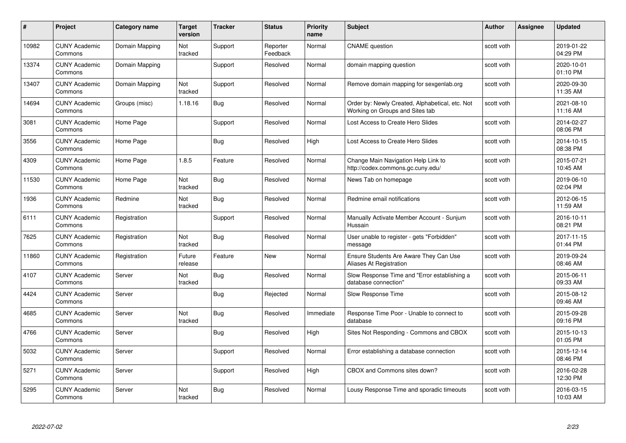| #     | Project                         | <b>Category name</b> | <b>Target</b><br>version | <b>Tracker</b> | <b>Status</b>        | <b>Priority</b><br>name | <b>Subject</b>                                                                     | <b>Author</b> | Assignee | <b>Updated</b>         |
|-------|---------------------------------|----------------------|--------------------------|----------------|----------------------|-------------------------|------------------------------------------------------------------------------------|---------------|----------|------------------------|
| 10982 | <b>CUNY Academic</b><br>Commons | Domain Mapping       | Not<br>tracked           | Support        | Reporter<br>Feedback | Normal                  | <b>CNAME</b> question                                                              | scott voth    |          | 2019-01-22<br>04:29 PM |
| 13374 | <b>CUNY Academic</b><br>Commons | Domain Mapping       |                          | Support        | Resolved             | Normal                  | domain mapping question                                                            | scott voth    |          | 2020-10-01<br>01:10 PM |
| 13407 | <b>CUNY Academic</b><br>Commons | Domain Mapping       | Not<br>tracked           | Support        | Resolved             | Normal                  | Remove domain mapping for sexgenlab.org                                            | scott voth    |          | 2020-09-30<br>11:35 AM |
| 14694 | <b>CUNY Academic</b><br>Commons | Groups (misc)        | 1.18.16                  | Bug            | Resolved             | Normal                  | Order by: Newly Created, Alphabetical, etc. Not<br>Working on Groups and Sites tab | scott voth    |          | 2021-08-10<br>11:16 AM |
| 3081  | <b>CUNY Academic</b><br>Commons | Home Page            |                          | Support        | Resolved             | Normal                  | Lost Access to Create Hero Slides                                                  | scott voth    |          | 2014-02-27<br>08:06 PM |
| 3556  | <b>CUNY Academic</b><br>Commons | Home Page            |                          | Bug            | Resolved             | High                    | Lost Access to Create Hero Slides                                                  | scott voth    |          | 2014-10-15<br>08:38 PM |
| 4309  | <b>CUNY Academic</b><br>Commons | Home Page            | 1.8.5                    | Feature        | Resolved             | Normal                  | Change Main Navigation Help Link to<br>http://codex.commons.gc.cuny.edu/           | scott voth    |          | 2015-07-21<br>10:45 AM |
| 11530 | <b>CUNY Academic</b><br>Commons | Home Page            | Not<br>tracked           | <b>Bug</b>     | Resolved             | Normal                  | News Tab on homepage                                                               | scott voth    |          | 2019-06-10<br>02:04 PM |
| 1936  | <b>CUNY Academic</b><br>Commons | Redmine              | Not<br>tracked           | <b>Bug</b>     | Resolved             | Normal                  | Redmine email notifications                                                        | scott voth    |          | 2012-06-15<br>11:59 AM |
| 6111  | <b>CUNY Academic</b><br>Commons | Registration         |                          | Support        | Resolved             | Normal                  | Manually Activate Member Account - Sunjum<br>Hussain                               | scott voth    |          | 2016-10-11<br>08:21 PM |
| 7625  | CUNY Academic<br>Commons        | Registration         | Not<br>tracked           | Bug            | Resolved             | Normal                  | User unable to register - gets "Forbidden"<br>message                              | scott voth    |          | 2017-11-15<br>01:44 PM |
| 11860 | <b>CUNY Academic</b><br>Commons | Registration         | Future<br>release        | Feature        | New                  | Normal                  | Ensure Students Are Aware They Can Use<br>Aliases At Registration                  | scott voth    |          | 2019-09-24<br>08:46 AM |
| 4107  | <b>CUNY Academic</b><br>Commons | Server               | Not<br>tracked           | <b>Bug</b>     | Resolved             | Normal                  | Slow Response Time and "Error establishing a<br>database connection"               | scott voth    |          | 2015-06-11<br>09:33 AM |
| 4424  | <b>CUNY Academic</b><br>Commons | Server               |                          | <b>Bug</b>     | Rejected             | Normal                  | Slow Response Time                                                                 | scott voth    |          | 2015-08-12<br>09:46 AM |
| 4685  | <b>CUNY Academic</b><br>Commons | Server               | Not<br>tracked           | Bug            | Resolved             | Immediate               | Response Time Poor - Unable to connect to<br>database                              | scott voth    |          | 2015-09-28<br>09:16 PM |
| 4766  | <b>CUNY Academic</b><br>Commons | Server               |                          | Bug            | Resolved             | High                    | Sites Not Responding - Commons and CBOX                                            | scott voth    |          | 2015-10-13<br>01:05 PM |
| 5032  | <b>CUNY Academic</b><br>Commons | Server               |                          | Support        | Resolved             | Normal                  | Error establishing a database connection                                           | scott voth    |          | 2015-12-14<br>08:46 PM |
| 5271  | <b>CUNY Academic</b><br>Commons | Server               |                          | Support        | Resolved             | High                    | CBOX and Commons sites down?                                                       | scott voth    |          | 2016-02-28<br>12:30 PM |
| 5295  | <b>CUNY Academic</b><br>Commons | Server               | Not<br>tracked           | Bug            | Resolved             | Normal                  | Lousy Response Time and sporadic timeouts                                          | scott voth    |          | 2016-03-15<br>10:03 AM |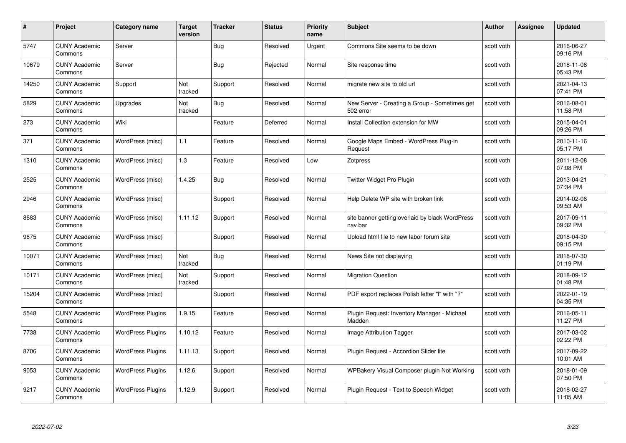| #     | Project                         | <b>Category name</b>     | Target<br>version | <b>Tracker</b> | <b>Status</b> | <b>Priority</b><br>name | <b>Subject</b>                                             | <b>Author</b> | <b>Assignee</b> | <b>Updated</b>         |
|-------|---------------------------------|--------------------------|-------------------|----------------|---------------|-------------------------|------------------------------------------------------------|---------------|-----------------|------------------------|
| 5747  | <b>CUNY Academic</b><br>Commons | Server                   |                   | <b>Bug</b>     | Resolved      | Urgent                  | Commons Site seems to be down                              | scott voth    |                 | 2016-06-27<br>09:16 PM |
| 10679 | <b>CUNY Academic</b><br>Commons | Server                   |                   | Bug            | Rejected      | Normal                  | Site response time                                         | scott voth    |                 | 2018-11-08<br>05:43 PM |
| 14250 | <b>CUNY Academic</b><br>Commons | Support                  | Not<br>tracked    | Support        | Resolved      | Normal                  | migrate new site to old url                                | scott voth    |                 | 2021-04-13<br>07:41 PM |
| 5829  | <b>CUNY Academic</b><br>Commons | Upgrades                 | Not<br>tracked    | <b>Bug</b>     | Resolved      | Normal                  | New Server - Creating a Group - Sometimes get<br>502 error | scott voth    |                 | 2016-08-01<br>11:58 PM |
| 273   | <b>CUNY Academic</b><br>Commons | Wiki                     |                   | Feature        | Deferred      | Normal                  | Install Collection extension for MW                        | scott voth    |                 | 2015-04-01<br>09:26 PM |
| 371   | <b>CUNY Academic</b><br>Commons | WordPress (misc)         | 1.1               | Feature        | Resolved      | Normal                  | Google Maps Embed - WordPress Plug-in<br>Request           | scott voth    |                 | 2010-11-16<br>05:17 PM |
| 1310  | <b>CUNY Academic</b><br>Commons | WordPress (misc)         | 1.3               | Feature        | Resolved      | Low                     | Zotpress                                                   | scott voth    |                 | 2011-12-08<br>07:08 PM |
| 2525  | <b>CUNY Academic</b><br>Commons | WordPress (misc)         | 1.4.25            | Bug            | Resolved      | Normal                  | Twitter Widget Pro Plugin                                  | scott voth    |                 | 2013-04-21<br>07:34 PM |
| 2946  | <b>CUNY Academic</b><br>Commons | WordPress (misc)         |                   | Support        | Resolved      | Normal                  | Help Delete WP site with broken link                       | scott voth    |                 | 2014-02-08<br>09:53 AM |
| 8683  | <b>CUNY Academic</b><br>Commons | WordPress (misc)         | 1.11.12           | Support        | Resolved      | Normal                  | site banner getting overlaid by black WordPress<br>nav bar | scott voth    |                 | 2017-09-11<br>09:32 PM |
| 9675  | CUNY Academic<br>Commons        | WordPress (misc)         |                   | Support        | Resolved      | Normal                  | Upload html file to new labor forum site                   | scott voth    |                 | 2018-04-30<br>09:15 PM |
| 10071 | <b>CUNY Academic</b><br>Commons | WordPress (misc)         | Not<br>tracked    | <b>Bug</b>     | Resolved      | Normal                  | News Site not displaying                                   | scott voth    |                 | 2018-07-30<br>01:19 PM |
| 10171 | <b>CUNY Academic</b><br>Commons | WordPress (misc)         | Not<br>tracked    | Support        | Resolved      | Normal                  | <b>Migration Question</b>                                  | scott voth    |                 | 2018-09-12<br>01:48 PM |
| 15204 | <b>CUNY Academic</b><br>Commons | WordPress (misc)         |                   | Support        | Resolved      | Normal                  | PDF export replaces Polish letter "I" with "?"             | scott voth    |                 | 2022-01-19<br>04:35 PM |
| 5548  | <b>CUNY Academic</b><br>Commons | <b>WordPress Plugins</b> | 1.9.15            | Feature        | Resolved      | Normal                  | Plugin Request: Inventory Manager - Michael<br>Madden      | scott voth    |                 | 2016-05-11<br>11:27 PM |
| 7738  | <b>CUNY Academic</b><br>Commons | <b>WordPress Plugins</b> | 1.10.12           | Feature        | Resolved      | Normal                  | Image Attribution Tagger                                   | scott voth    |                 | 2017-03-02<br>02:22 PM |
| 8706  | <b>CUNY Academic</b><br>Commons | <b>WordPress Plugins</b> | 1.11.13           | Support        | Resolved      | Normal                  | Plugin Request - Accordion Slider lite                     | scott voth    |                 | 2017-09-22<br>10:01 AM |
| 9053  | <b>CUNY Academic</b><br>Commons | <b>WordPress Plugins</b> | 1.12.6            | Support        | Resolved      | Normal                  | WPBakery Visual Composer plugin Not Working                | scott voth    |                 | 2018-01-09<br>07:50 PM |
| 9217  | CUNY Academic<br>Commons        | <b>WordPress Plugins</b> | 1.12.9            | Support        | Resolved      | Normal                  | Plugin Request - Text to Speech Widget                     | scott voth    |                 | 2018-02-27<br>11:05 AM |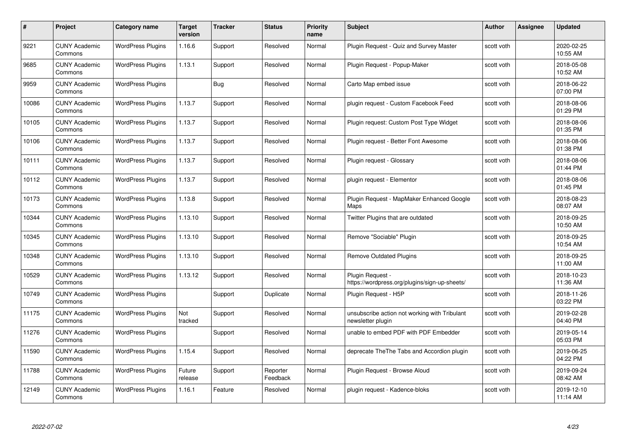| #     | Project                         | <b>Category name</b>     | Target<br>version | <b>Tracker</b> | <b>Status</b>        | <b>Priority</b><br>name | <b>Subject</b>                                                     | <b>Author</b> | <b>Assignee</b> | <b>Updated</b>         |
|-------|---------------------------------|--------------------------|-------------------|----------------|----------------------|-------------------------|--------------------------------------------------------------------|---------------|-----------------|------------------------|
| 9221  | <b>CUNY Academic</b><br>Commons | <b>WordPress Plugins</b> | 1.16.6            | Support        | Resolved             | Normal                  | Plugin Request - Quiz and Survey Master                            | scott voth    |                 | 2020-02-25<br>10:55 AM |
| 9685  | <b>CUNY Academic</b><br>Commons | <b>WordPress Plugins</b> | 1.13.1            | Support        | Resolved             | Normal                  | Plugin Request - Popup-Maker                                       | scott voth    |                 | 2018-05-08<br>10:52 AM |
| 9959  | <b>CUNY Academic</b><br>Commons | <b>WordPress Plugins</b> |                   | Bug            | Resolved             | Normal                  | Carto Map embed issue                                              | scott voth    |                 | 2018-06-22<br>07:00 PM |
| 10086 | <b>CUNY Academic</b><br>Commons | <b>WordPress Plugins</b> | 1.13.7            | Support        | Resolved             | Normal                  | plugin request - Custom Facebook Feed                              | scott voth    |                 | 2018-08-06<br>01:29 PM |
| 10105 | <b>CUNY Academic</b><br>Commons | <b>WordPress Plugins</b> | 1.13.7            | Support        | Resolved             | Normal                  | Plugin request: Custom Post Type Widget                            | scott voth    |                 | 2018-08-06<br>01:35 PM |
| 10106 | <b>CUNY Academic</b><br>Commons | <b>WordPress Plugins</b> | 1.13.7            | Support        | Resolved             | Normal                  | Plugin request - Better Font Awesome                               | scott voth    |                 | 2018-08-06<br>01:38 PM |
| 10111 | <b>CUNY Academic</b><br>Commons | <b>WordPress Plugins</b> | 1.13.7            | Support        | Resolved             | Normal                  | Plugin request - Glossary                                          | scott voth    |                 | 2018-08-06<br>01:44 PM |
| 10112 | <b>CUNY Academic</b><br>Commons | <b>WordPress Plugins</b> | 1.13.7            | Support        | Resolved             | Normal                  | plugin reguest - Elementor                                         | scott voth    |                 | 2018-08-06<br>01:45 PM |
| 10173 | <b>CUNY Academic</b><br>Commons | <b>WordPress Plugins</b> | 1.13.8            | Support        | Resolved             | Normal                  | Plugin Request - MapMaker Enhanced Google<br>Maps                  | scott voth    |                 | 2018-08-23<br>08:07 AM |
| 10344 | <b>CUNY Academic</b><br>Commons | <b>WordPress Plugins</b> | 1.13.10           | Support        | Resolved             | Normal                  | Twitter Plugins that are outdated                                  | scott voth    |                 | 2018-09-25<br>10:50 AM |
| 10345 | <b>CUNY Academic</b><br>Commons | <b>WordPress Plugins</b> | 1.13.10           | Support        | Resolved             | Normal                  | Remove "Sociable" Plugin                                           | scott voth    |                 | 2018-09-25<br>10:54 AM |
| 10348 | <b>CUNY Academic</b><br>Commons | <b>WordPress Plugins</b> | 1.13.10           | Support        | Resolved             | Normal                  | <b>Remove Outdated Plugins</b>                                     | scott voth    |                 | 2018-09-25<br>11:00 AM |
| 10529 | <b>CUNY Academic</b><br>Commons | <b>WordPress Plugins</b> | 1.13.12           | Support        | Resolved             | Normal                  | Plugin Request -<br>https://wordpress.org/plugins/sign-up-sheets/  | scott voth    |                 | 2018-10-23<br>11:36 AM |
| 10749 | <b>CUNY Academic</b><br>Commons | <b>WordPress Plugins</b> |                   | Support        | Duplicate            | Normal                  | Plugin Request - H5P                                               | scott voth    |                 | 2018-11-26<br>03:22 PM |
| 11175 | <b>CUNY Academic</b><br>Commons | <b>WordPress Plugins</b> | Not<br>tracked    | Support        | Resolved             | Normal                  | unsubscribe action not working with Tribulant<br>newsletter plugin | scott voth    |                 | 2019-02-28<br>04:40 PM |
| 11276 | <b>CUNY Academic</b><br>Commons | <b>WordPress Plugins</b> |                   | Support        | Resolved             | Normal                  | unable to embed PDF with PDF Embedder                              | scott voth    |                 | 2019-05-14<br>05:03 PM |
| 11590 | <b>CUNY Academic</b><br>Commons | <b>WordPress Plugins</b> | 1.15.4            | Support        | Resolved             | Normal                  | deprecate The The Tabs and Accordion plugin                        | scott voth    |                 | 2019-06-25<br>04:22 PM |
| 11788 | <b>CUNY Academic</b><br>Commons | <b>WordPress Plugins</b> | Future<br>release | Support        | Reporter<br>Feedback | Normal                  | Plugin Request - Browse Aloud                                      | scott voth    |                 | 2019-09-24<br>08:42 AM |
| 12149 | <b>CUNY Academic</b><br>Commons | <b>WordPress Plugins</b> | 1.16.1            | Feature        | Resolved             | Normal                  | plugin request - Kadence-bloks                                     | scott voth    |                 | 2019-12-10<br>11:14 AM |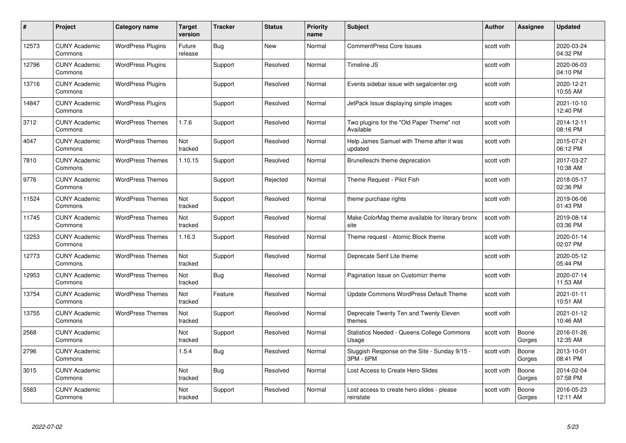| #     | Project                         | <b>Category name</b>     | Target<br>version | <b>Tracker</b> | <b>Status</b> | <b>Priority</b><br>name | <b>Subject</b>                                             | <b>Author</b> | <b>Assignee</b> | <b>Updated</b>         |
|-------|---------------------------------|--------------------------|-------------------|----------------|---------------|-------------------------|------------------------------------------------------------|---------------|-----------------|------------------------|
| 12573 | <b>CUNY Academic</b><br>Commons | <b>WordPress Plugins</b> | Future<br>release | <b>Bug</b>     | <b>New</b>    | Normal                  | <b>CommentPress Core Issues</b>                            | scott voth    |                 | 2020-03-24<br>04:32 PM |
| 12796 | <b>CUNY Academic</b><br>Commons | <b>WordPress Plugins</b> |                   | Support        | Resolved      | Normal                  | Timeline JS                                                | scott voth    |                 | 2020-06-03<br>04:10 PM |
| 13716 | <b>CUNY Academic</b><br>Commons | <b>WordPress Plugins</b> |                   | Support        | Resolved      | Normal                  | Events sidebar issue with segalcenter.org                  | scott voth    |                 | 2020-12-21<br>10:55 AM |
| 14847 | <b>CUNY Academic</b><br>Commons | <b>WordPress Plugins</b> |                   | Support        | Resolved      | Normal                  | JetPack Issue displaying simple images                     | scott voth    |                 | 2021-10-10<br>12:40 PM |
| 3712  | <b>CUNY Academic</b><br>Commons | <b>WordPress Themes</b>  | 1.7.6             | Support        | Resolved      | Normal                  | Two plugins for the "Old Paper Theme" not<br>Available     | scott voth    |                 | 2014-12-11<br>08:16 PM |
| 4047  | <b>CUNY Academic</b><br>Commons | <b>WordPress Themes</b>  | Not<br>tracked    | Support        | Resolved      | Normal                  | Help James Samuel with Theme after it was<br>updated       | scott voth    |                 | 2015-07-21<br>06:12 PM |
| 7810  | <b>CUNY Academic</b><br>Commons | <b>WordPress Themes</b>  | 1.10.15           | Support        | Resolved      | Normal                  | Brunelleschi theme deprecation                             | scott voth    |                 | 2017-03-27<br>10:38 AM |
| 9776  | <b>CUNY Academic</b><br>Commons | <b>WordPress Themes</b>  |                   | Support        | Rejected      | Normal                  | Theme Request - Pilot Fish                                 | scott voth    |                 | 2018-05-17<br>02:36 PM |
| 11524 | <b>CUNY Academic</b><br>Commons | <b>WordPress Themes</b>  | Not<br>tracked    | Support        | Resolved      | Normal                  | theme purchase rights                                      | scott voth    |                 | 2019-06-06<br>01:43 PM |
| 11745 | <b>CUNY Academic</b><br>Commons | <b>WordPress Themes</b>  | Not<br>tracked    | Support        | Resolved      | Normal                  | Make ColorMag theme available for literary bronx<br>site   | scott voth    |                 | 2019-08-14<br>03:36 PM |
| 12253 | <b>CUNY Academic</b><br>Commons | <b>WordPress Themes</b>  | 1.16.3            | Support        | Resolved      | Normal                  | Theme request - Atomic Block theme                         | scott voth    |                 | 2020-01-14<br>02:07 PM |
| 12773 | <b>CUNY Academic</b><br>Commons | <b>WordPress Themes</b>  | Not<br>tracked    | Support        | Resolved      | Normal                  | Deprecate Serif Lite theme                                 | scott voth    |                 | 2020-05-12<br>05:44 PM |
| 12953 | <b>CUNY Academic</b><br>Commons | <b>WordPress Themes</b>  | Not<br>tracked    | <b>Bug</b>     | Resolved      | Normal                  | Pagination Issue on Customizr theme                        | scott voth    |                 | 2020-07-14<br>11:53 AM |
| 13754 | <b>CUNY Academic</b><br>Commons | <b>WordPress Themes</b>  | Not<br>tracked    | Feature        | Resolved      | Normal                  | Update Commons WordPress Default Theme                     | scott voth    |                 | 2021-01-11<br>10:51 AM |
| 13755 | CUNY Academic<br>Commons        | <b>WordPress Themes</b>  | Not<br>tracked    | Support        | Resolved      | Normal                  | Deprecate Twenty Ten and Twenty Eleven<br>themes           | scott voth    |                 | 2021-01-12<br>10:46 AM |
| 2568  | <b>CUNY Academic</b><br>Commons |                          | Not<br>tracked    | Support        | Resolved      | Normal                  | Statistics Needed - Queens College Commons<br>Usage        | scott voth    | Boone<br>Gorges | 2016-01-26<br>12:35 AM |
| 2796  | <b>CUNY Academic</b><br>Commons |                          | 1.5.4             | Bug            | Resolved      | Normal                  | Sluggish Response on the Site - Sunday 9/15 -<br>3PM - 6PM | scott voth    | Boone<br>Gorges | 2013-10-01<br>08:41 PM |
| 3015  | <b>CUNY Academic</b><br>Commons |                          | Not<br>tracked    | <b>Bug</b>     | Resolved      | Normal                  | Lost Access to Create Hero Slides                          | scott voth    | Boone<br>Gorges | 2014-02-04<br>07:58 PM |
| 5583  | CUNY Academic<br>Commons        |                          | Not<br>tracked    | Support        | Resolved      | Normal                  | Lost access to create hero slides - please<br>reinstate    | scott voth    | Boone<br>Gorges | 2016-05-23<br>12:11 AM |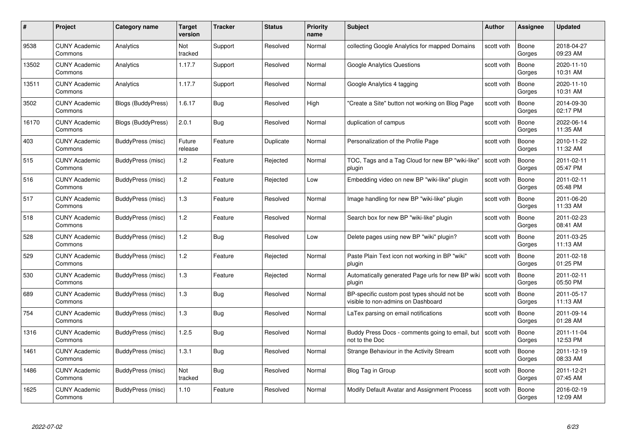| #     | Project                         | <b>Category name</b> | Target<br>version | <b>Tracker</b> | <b>Status</b> | <b>Priority</b><br>name | <b>Subject</b>                                                                    | <b>Author</b> | <b>Assignee</b> | <b>Updated</b>         |
|-------|---------------------------------|----------------------|-------------------|----------------|---------------|-------------------------|-----------------------------------------------------------------------------------|---------------|-----------------|------------------------|
| 9538  | <b>CUNY Academic</b><br>Commons | Analytics            | Not<br>tracked    | Support        | Resolved      | Normal                  | collecting Google Analytics for mapped Domains                                    | scott voth    | Boone<br>Gorges | 2018-04-27<br>09:23 AM |
| 13502 | <b>CUNY Academic</b><br>Commons | Analytics            | 1.17.7            | Support        | Resolved      | Normal                  | <b>Google Analytics Questions</b>                                                 | scott voth    | Boone<br>Gorges | 2020-11-10<br>10:31 AM |
| 13511 | <b>CUNY Academic</b><br>Commons | Analytics            | 1.17.7            | Support        | Resolved      | Normal                  | Google Analytics 4 tagging                                                        | scott voth    | Boone<br>Gorges | 2020-11-10<br>10:31 AM |
| 3502  | <b>CUNY Academic</b><br>Commons | Blogs (BuddyPress)   | 1.6.17            | <b>Bug</b>     | Resolved      | High                    | "Create a Site" button not working on Blog Page                                   | scott voth    | Boone<br>Gorges | 2014-09-30<br>02:17 PM |
| 16170 | <b>CUNY Academic</b><br>Commons | Blogs (BuddyPress)   | 2.0.1             | <b>Bug</b>     | Resolved      | Normal                  | duplication of campus                                                             | scott voth    | Boone<br>Gorges | 2022-06-14<br>11:35 AM |
| 403   | <b>CUNY Academic</b><br>Commons | BuddyPress (misc)    | Future<br>release | Feature        | Duplicate     | Normal                  | Personalization of the Profile Page                                               | scott voth    | Boone<br>Gorges | 2010-11-22<br>11:32 AM |
| 515   | <b>CUNY Academic</b><br>Commons | BuddyPress (misc)    | 1.2               | Feature        | Rejected      | Normal                  | TOC, Tags and a Tag Cloud for new BP "wiki-like"<br>plugin                        | scott voth    | Boone<br>Gorges | 2011-02-11<br>05:47 PM |
| 516   | <b>CUNY Academic</b><br>Commons | BuddyPress (misc)    | 1.2               | Feature        | Rejected      | Low                     | Embedding video on new BP "wiki-like" plugin                                      | scott voth    | Boone<br>Gorges | 2011-02-11<br>05:48 PM |
| 517   | <b>CUNY Academic</b><br>Commons | BuddyPress (misc)    | $1.3$             | Feature        | Resolved      | Normal                  | Image handling for new BP "wiki-like" plugin                                      | scott voth    | Boone<br>Gorges | 2011-06-20<br>11:33 AM |
| 518   | <b>CUNY Academic</b><br>Commons | BuddyPress (misc)    | 1.2               | Feature        | Resolved      | Normal                  | Search box for new BP "wiki-like" plugin                                          | scott voth    | Boone<br>Gorges | 2011-02-23<br>08:41 AM |
| 528   | <b>CUNY Academic</b><br>Commons | BuddyPress (misc)    | 1.2               | <b>Bug</b>     | Resolved      | Low                     | Delete pages using new BP "wiki" plugin?                                          | scott voth    | Boone<br>Gorges | 2011-03-25<br>11:13 AM |
| 529   | <b>CUNY Academic</b><br>Commons | BuddyPress (misc)    | 1.2               | Feature        | Rejected      | Normal                  | Paste Plain Text icon not working in BP "wiki"<br>plugin                          | scott voth    | Boone<br>Gorges | 2011-02-18<br>01:25 PM |
| 530   | <b>CUNY Academic</b><br>Commons | BuddyPress (misc)    | 1.3               | Feature        | Rejected      | Normal                  | Automatically generated Page urls for new BP wiki   scott voth<br>plugin          |               | Boone<br>Gorges | 2011-02-11<br>05:50 PM |
| 689   | <b>CUNY Academic</b><br>Commons | BuddyPress (misc)    | 1.3               | <b>Bug</b>     | Resolved      | Normal                  | BP-specific custom post types should not be<br>visible to non-admins on Dashboard | scott voth    | Boone<br>Gorges | 2011-05-17<br>11:13 AM |
| 754   | <b>CUNY Academic</b><br>Commons | BuddyPress (misc)    | 1.3               | Bug            | Resolved      | Normal                  | LaTex parsing on email notifications                                              | scott voth    | Boone<br>Gorges | 2011-09-14<br>01:28 AM |
| 1316  | <b>CUNY Academic</b><br>Commons | BuddyPress (misc)    | 1.2.5             | Bug            | Resolved      | Normal                  | Buddy Press Docs - comments going to email, but<br>not to the Doc                 | scott voth    | Boone<br>Gorges | 2011-11-04<br>12:53 PM |
| 1461  | <b>CUNY Academic</b><br>Commons | BuddyPress (misc)    | 1.3.1             | Bug            | Resolved      | Normal                  | Strange Behaviour in the Activity Stream                                          | scott voth    | Boone<br>Gorges | 2011-12-19<br>08:33 AM |
| 1486  | <b>CUNY Academic</b><br>Commons | BuddyPress (misc)    | Not<br>tracked    | <b>Bug</b>     | Resolved      | Normal                  | Blog Tag in Group                                                                 | scott voth    | Boone<br>Gorges | 2011-12-21<br>07:45 AM |
| 1625  | CUNY Academic<br>Commons        | BuddyPress (misc)    | 1.10              | Feature        | Resolved      | Normal                  | Modify Default Avatar and Assignment Process                                      | scott voth    | Boone<br>Gorges | 2016-02-19<br>12:09 AM |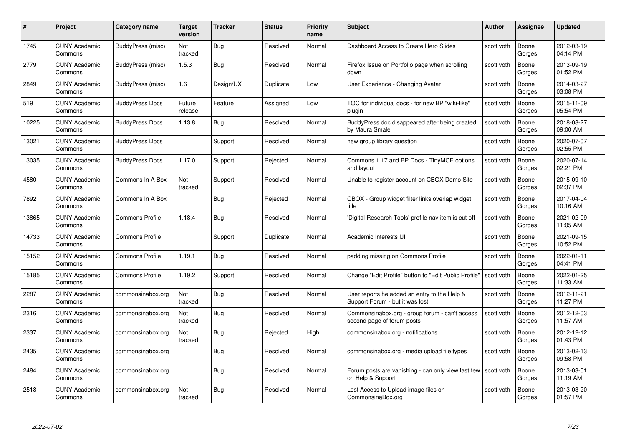| #     | Project                         | <b>Category name</b>   | Target<br>version | <b>Tracker</b> | <b>Status</b> | <b>Priority</b><br>name | <b>Subject</b>                                                                  | Author     | Assignee        | <b>Updated</b>         |
|-------|---------------------------------|------------------------|-------------------|----------------|---------------|-------------------------|---------------------------------------------------------------------------------|------------|-----------------|------------------------|
| 1745  | <b>CUNY Academic</b><br>Commons | BuddyPress (misc)      | Not<br>tracked    | <b>Bug</b>     | Resolved      | Normal                  | Dashboard Access to Create Hero Slides                                          | scott voth | Boone<br>Gorges | 2012-03-19<br>04:14 PM |
| 2779  | <b>CUNY Academic</b><br>Commons | BuddyPress (misc)      | 1.5.3             | <b>Bug</b>     | Resolved      | Normal                  | Firefox Issue on Portfolio page when scrolling<br>down                          | scott voth | Boone<br>Gorges | 2013-09-19<br>01:52 PM |
| 2849  | <b>CUNY Academic</b><br>Commons | BuddyPress (misc)      | 1.6               | Design/UX      | Duplicate     | Low                     | User Experience - Changing Avatar                                               | scott voth | Boone<br>Gorges | 2014-03-27<br>03:08 PM |
| 519   | <b>CUNY Academic</b><br>Commons | <b>BuddyPress Docs</b> | Future<br>release | Feature        | Assigned      | Low                     | TOC for individual docs - for new BP "wiki-like"<br>plugin                      | scott voth | Boone<br>Gorges | 2015-11-09<br>05:54 PM |
| 10225 | <b>CUNY Academic</b><br>Commons | <b>BuddyPress Docs</b> | 1.13.8            | Bug            | Resolved      | Normal                  | BuddyPress doc disappeared after being created<br>by Maura Smale                | scott voth | Boone<br>Gorges | 2018-08-27<br>09:00 AM |
| 13021 | <b>CUNY Academic</b><br>Commons | <b>BuddyPress Docs</b> |                   | Support        | Resolved      | Normal                  | new group library question                                                      | scott voth | Boone<br>Gorges | 2020-07-07<br>02:55 PM |
| 13035 | <b>CUNY Academic</b><br>Commons | <b>BuddyPress Docs</b> | 1.17.0            | Support        | Rejected      | Normal                  | Commons 1.17 and BP Docs - TinyMCE options<br>and layout                        | scott voth | Boone<br>Gorges | 2020-07-14<br>02:21 PM |
| 4580  | <b>CUNY Academic</b><br>Commons | Commons In A Box       | Not<br>tracked    | Support        | Resolved      | Normal                  | Unable to register account on CBOX Demo Site                                    | scott voth | Boone<br>Gorges | 2015-09-10<br>02:37 PM |
| 7892  | <b>CUNY Academic</b><br>Commons | Commons In A Box       |                   | Bug            | Rejected      | Normal                  | CBOX - Group widget filter links overlap widget<br>title                        | scott voth | Boone<br>Gorges | 2017-04-04<br>10:16 AM |
| 13865 | <b>CUNY Academic</b><br>Commons | <b>Commons Profile</b> | 1.18.4            | Bug            | Resolved      | Normal                  | 'Digital Research Tools' profile nav item is cut off                            | scott voth | Boone<br>Gorges | 2021-02-09<br>11:05 AM |
| 14733 | <b>CUNY Academic</b><br>Commons | <b>Commons Profile</b> |                   | Support        | Duplicate     | Normal                  | Academic Interests UI                                                           | scott voth | Boone<br>Gorges | 2021-09-15<br>10:52 PM |
| 15152 | <b>CUNY Academic</b><br>Commons | <b>Commons Profile</b> | 1.19.1            | Bug            | Resolved      | Normal                  | padding missing on Commons Profile                                              | scott voth | Boone<br>Gorges | 2022-01-11<br>04:41 PM |
| 15185 | <b>CUNY Academic</b><br>Commons | <b>Commons Profile</b> | 1.19.2            | Support        | Resolved      | Normal                  | Change "Edit Profile" button to "Edit Public Profile"                           | scott voth | Boone<br>Gorges | 2022-01-25<br>11:33 AM |
| 2287  | <b>CUNY Academic</b><br>Commons | commonsinabox.org      | Not<br>tracked    | Bug            | Resolved      | Normal                  | User reports he added an entry to the Help &<br>Support Forum - but it was lost | scott voth | Boone<br>Gorges | 2012-11-21<br>11:27 PM |
| 2316  | <b>CUNY Academic</b><br>Commons | commonsinabox.org      | Not<br>tracked    | Bug            | Resolved      | Normal                  | Commonsinabox.org - group forum - can't access<br>second page of forum posts    | scott voth | Boone<br>Gorges | 2012-12-03<br>11:57 AM |
| 2337  | <b>CUNY Academic</b><br>Commons | commonsinabox.org      | Not<br>tracked    | <b>Bug</b>     | Rejected      | High                    | commonsinabox.org - notifications                                               | scott voth | Boone<br>Gorges | 2012-12-12<br>01:43 PM |
| 2435  | <b>CUNY Academic</b><br>Commons | commonsinabox.org      |                   | Bug            | Resolved      | Normal                  | commonsinabox.org - media upload file types                                     | scott voth | Boone<br>Gorges | 2013-02-13<br>09:58 PM |
| 2484  | <b>CUNY Academic</b><br>Commons | commonsinabox.org      |                   | Bug            | Resolved      | Normal                  | Forum posts are vanishing - can only view last few<br>on Help & Support         | scott voth | Boone<br>Gorges | 2013-03-01<br>11:19 AM |
| 2518  | CUNY Academic<br>Commons        | commonsinabox.org      | Not<br>tracked    | <b>Bug</b>     | Resolved      | Normal                  | Lost Access to Upload image files on<br>CommonsinaBox.org                       | scott voth | Boone<br>Gorges | 2013-03-20<br>01:57 PM |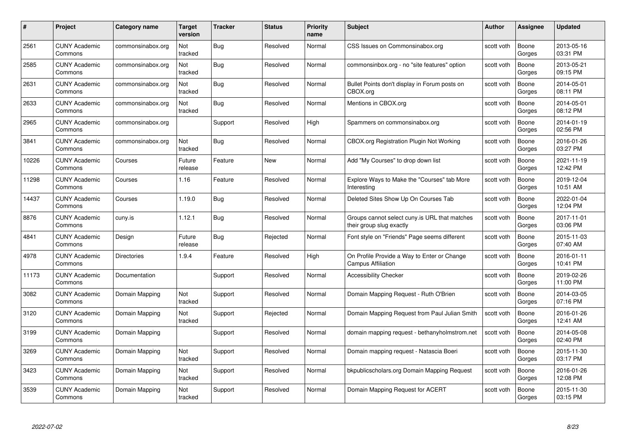| #     | Project                         | <b>Category name</b> | Target<br>version | <b>Tracker</b> | <b>Status</b> | <b>Priority</b><br>name | <b>Subject</b>                                                            | <b>Author</b> | <b>Assignee</b> | <b>Updated</b>         |
|-------|---------------------------------|----------------------|-------------------|----------------|---------------|-------------------------|---------------------------------------------------------------------------|---------------|-----------------|------------------------|
| 2561  | <b>CUNY Academic</b><br>Commons | commonsinabox.org    | Not<br>tracked    | Bug            | Resolved      | Normal                  | CSS Issues on Commonsinabox.org                                           | scott voth    | Boone<br>Gorges | 2013-05-16<br>03:31 PM |
| 2585  | <b>CUNY Academic</b><br>Commons | commonsinabox.org    | Not<br>tracked    | <b>Bug</b>     | Resolved      | Normal                  | commonsinbox.org - no "site features" option                              | scott voth    | Boone<br>Gorges | 2013-05-21<br>09:15 PM |
| 2631  | <b>CUNY Academic</b><br>Commons | commonsinabox.org    | Not<br>tracked    | <b>Bug</b>     | Resolved      | Normal                  | Bullet Points don't display in Forum posts on<br>CBOX.org                 | scott voth    | Boone<br>Gorges | 2014-05-01<br>08:11 PM |
| 2633  | <b>CUNY Academic</b><br>Commons | commonsinabox.org    | Not<br>tracked    | <b>Bug</b>     | Resolved      | Normal                  | Mentions in CBOX.org                                                      | scott voth    | Boone<br>Gorges | 2014-05-01<br>08:12 PM |
| 2965  | CUNY Academic<br>Commons        | commonsinabox.org    |                   | Support        | Resolved      | High                    | Spammers on commonsinabox.org                                             | scott voth    | Boone<br>Gorges | 2014-01-19<br>02:56 PM |
| 3841  | <b>CUNY Academic</b><br>Commons | commonsinabox.org    | Not<br>tracked    | Bug            | Resolved      | Normal                  | <b>CBOX.org Registration Plugin Not Working</b>                           | scott voth    | Boone<br>Gorges | 2016-01-26<br>03:27 PM |
| 10226 | <b>CUNY Academic</b><br>Commons | Courses              | Future<br>release | Feature        | New           | Normal                  | Add "My Courses" to drop down list                                        | scott voth    | Boone<br>Gorges | 2021-11-19<br>12:42 PM |
| 11298 | <b>CUNY Academic</b><br>Commons | Courses              | 1.16              | Feature        | Resolved      | Normal                  | Explore Ways to Make the "Courses" tab More<br>Interesting                | scott voth    | Boone<br>Gorges | 2019-12-04<br>10:51 AM |
| 14437 | <b>CUNY Academic</b><br>Commons | Courses              | 1.19.0            | <b>Bug</b>     | Resolved      | Normal                  | Deleted Sites Show Up On Courses Tab                                      | scott voth    | Boone<br>Gorges | 2022-01-04<br>12:04 PM |
| 8876  | <b>CUNY Academic</b><br>Commons | cuny.is              | 1.12.1            | Bug            | Resolved      | Normal                  | Groups cannot select cuny is URL that matches<br>their group slug exactly | scott voth    | Boone<br>Gorges | 2017-11-01<br>03:06 PM |
| 4841  | CUNY Academic<br>Commons        | Design               | Future<br>release | Bug            | Rejected      | Normal                  | Font style on "Friends" Page seems different                              | scott voth    | Boone<br>Gorges | 2015-11-03<br>07:40 AM |
| 4978  | <b>CUNY Academic</b><br>Commons | <b>Directories</b>   | 1.9.4             | Feature        | Resolved      | High                    | On Profile Provide a Way to Enter or Change<br><b>Campus Affiliation</b>  | scott voth    | Boone<br>Gorges | 2016-01-11<br>10:41 PM |
| 11173 | <b>CUNY Academic</b><br>Commons | Documentation        |                   | Support        | Resolved      | Normal                  | <b>Accessibility Checker</b>                                              | scott voth    | Boone<br>Gorges | 2019-02-26<br>11:00 PM |
| 3082  | <b>CUNY Academic</b><br>Commons | Domain Mapping       | Not<br>tracked    | Support        | Resolved      | Normal                  | Domain Mapping Request - Ruth O'Brien                                     | scott voth    | Boone<br>Gorges | 2014-03-05<br>07:16 PM |
| 3120  | <b>CUNY Academic</b><br>Commons | Domain Mapping       | Not<br>tracked    | Support        | Rejected      | Normal                  | Domain Mapping Request from Paul Julian Smith                             | scott voth    | Boone<br>Gorges | 2016-01-26<br>12:41 AM |
| 3199  | <b>CUNY Academic</b><br>Commons | Domain Mapping       |                   | Support        | Resolved      | Normal                  | domain mapping request - bethanyholmstrom.net                             | scott voth    | Boone<br>Gorges | 2014-05-08<br>02:40 PM |
| 3269  | <b>CUNY Academic</b><br>Commons | Domain Mapping       | Not<br>tracked    | Support        | Resolved      | Normal                  | Domain mapping request - Natascia Boeri                                   | scott voth    | Boone<br>Gorges | 2015-11-30<br>03:17 PM |
| 3423  | <b>CUNY Academic</b><br>Commons | Domain Mapping       | Not<br>tracked    | Support        | Resolved      | Normal                  | bkpublicscholars.org Domain Mapping Request                               | scott voth    | Boone<br>Gorges | 2016-01-26<br>12:08 PM |
| 3539  | CUNY Academic<br>Commons        | Domain Mapping       | Not<br>tracked    | Support        | Resolved      | Normal                  | Domain Mapping Request for ACERT                                          | scott voth    | Boone<br>Gorges | 2015-11-30<br>03:15 PM |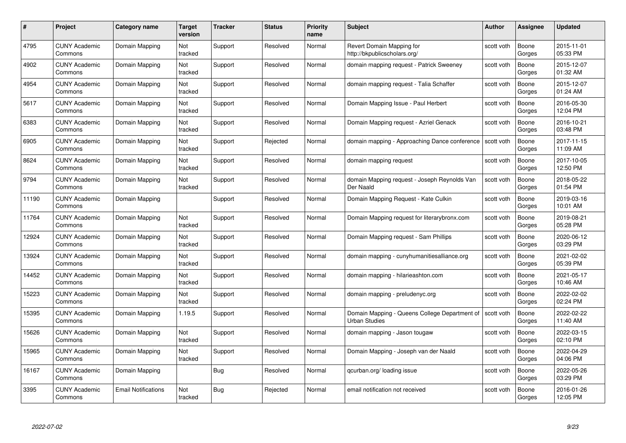| #     | Project                         | Category name       | Target<br>version | <b>Tracker</b> | <b>Status</b> | <b>Priority</b><br>name | <b>Subject</b>                                                        | <b>Author</b> | <b>Assignee</b> | <b>Updated</b>         |
|-------|---------------------------------|---------------------|-------------------|----------------|---------------|-------------------------|-----------------------------------------------------------------------|---------------|-----------------|------------------------|
| 4795  | <b>CUNY Academic</b><br>Commons | Domain Mapping      | Not<br>tracked    | Support        | Resolved      | Normal                  | Revert Domain Mapping for<br>http://bkpublicscholars.org/             | scott voth    | Boone<br>Gorges | 2015-11-01<br>05:33 PM |
| 4902  | <b>CUNY Academic</b><br>Commons | Domain Mapping      | Not<br>tracked    | Support        | Resolved      | Normal                  | domain mapping request - Patrick Sweeney                              | scott voth    | Boone<br>Gorges | 2015-12-07<br>01:32 AM |
| 4954  | <b>CUNY Academic</b><br>Commons | Domain Mapping      | Not<br>tracked    | Support        | Resolved      | Normal                  | domain mapping request - Talia Schaffer                               | scott voth    | Boone<br>Gorges | 2015-12-07<br>01:24 AM |
| 5617  | <b>CUNY Academic</b><br>Commons | Domain Mapping      | Not<br>tracked    | Support        | Resolved      | Normal                  | Domain Mapping Issue - Paul Herbert                                   | scott voth    | Boone<br>Gorges | 2016-05-30<br>12:04 PM |
| 6383  | <b>CUNY Academic</b><br>Commons | Domain Mapping      | Not<br>tracked    | Support        | Resolved      | Normal                  | Domain Mapping request - Azriel Genack                                | scott voth    | Boone<br>Gorges | 2016-10-21<br>03:48 PM |
| 6905  | <b>CUNY Academic</b><br>Commons | Domain Mapping      | Not<br>tracked    | Support        | Rejected      | Normal                  | domain mapping - Approaching Dance conference                         | scott voth    | Boone<br>Gorges | 2017-11-15<br>11:09 AM |
| 8624  | <b>CUNY Academic</b><br>Commons | Domain Mapping      | Not<br>tracked    | Support        | Resolved      | Normal                  | domain mapping request                                                | scott voth    | Boone<br>Gorges | 2017-10-05<br>12:50 PM |
| 9794  | <b>CUNY Academic</b><br>Commons | Domain Mapping      | Not<br>tracked    | Support        | Resolved      | Normal                  | domain Mapping request - Joseph Reynolds Van<br>Der Naald             | scott voth    | Boone<br>Gorges | 2018-05-22<br>01:54 PM |
| 11190 | <b>CUNY Academic</b><br>Commons | Domain Mapping      |                   | Support        | Resolved      | Normal                  | Domain Mapping Request - Kate Culkin                                  | scott voth    | Boone<br>Gorges | 2019-03-16<br>10:01 AM |
| 11764 | <b>CUNY Academic</b><br>Commons | Domain Mapping      | Not<br>tracked    | Support        | Resolved      | Normal                  | Domain Mapping request for literarybronx.com                          | scott voth    | Boone<br>Gorges | 2019-08-21<br>05:28 PM |
| 12924 | CUNY Academic<br>Commons        | Domain Mapping      | Not<br>tracked    | Support        | Resolved      | Normal                  | Domain Mapping request - Sam Phillips                                 | scott voth    | Boone<br>Gorges | 2020-06-12<br>03:29 PM |
| 13924 | <b>CUNY Academic</b><br>Commons | Domain Mapping      | Not<br>tracked    | Support        | Resolved      | Normal                  | domain mapping - cunyhumanitiesalliance.org                           | scott voth    | Boone<br>Gorges | 2021-02-02<br>05:39 PM |
| 14452 | <b>CUNY Academic</b><br>Commons | Domain Mapping      | Not<br>tracked    | Support        | Resolved      | Normal                  | domain mapping - hilarieashton.com                                    | scott voth    | Boone<br>Gorges | 2021-05-17<br>10:46 AM |
| 15223 | <b>CUNY Academic</b><br>Commons | Domain Mapping      | Not<br>tracked    | Support        | Resolved      | Normal                  | domain mapping - preludenyc.org                                       | scott voth    | Boone<br>Gorges | 2022-02-02<br>02:24 PM |
| 15395 | <b>CUNY Academic</b><br>Commons | Domain Mapping      | 1.19.5            | Support        | Resolved      | Normal                  | Domain Mapping - Queens College Department of<br><b>Urban Studies</b> | scott voth    | Boone<br>Gorges | 2022-02-22<br>11:40 AM |
| 15626 | <b>CUNY Academic</b><br>Commons | Domain Mapping      | Not<br>tracked    | Support        | Resolved      | Normal                  | domain mapping - Jason tougaw                                         | scott voth    | Boone<br>Gorges | 2022-03-15<br>02:10 PM |
| 15965 | <b>CUNY Academic</b><br>Commons | Domain Mapping      | Not<br>tracked    | Support        | Resolved      | Normal                  | Domain Mapping - Joseph van der Naald                                 | scott voth    | Boone<br>Gorges | 2022-04-29<br>04:06 PM |
| 16167 | <b>CUNY Academic</b><br>Commons | Domain Mapping      |                   | Bug            | Resolved      | Normal                  | qcurban.org/loading issue                                             | scott voth    | Boone<br>Gorges | 2022-05-26<br>03:29 PM |
| 3395  | CUNY Academic<br>Commons        | Email Notifications | Not<br>tracked    | <b>Bug</b>     | Rejected      | Normal                  | email notification not received                                       | scott voth    | Boone<br>Gorges | 2016-01-26<br>12:05 PM |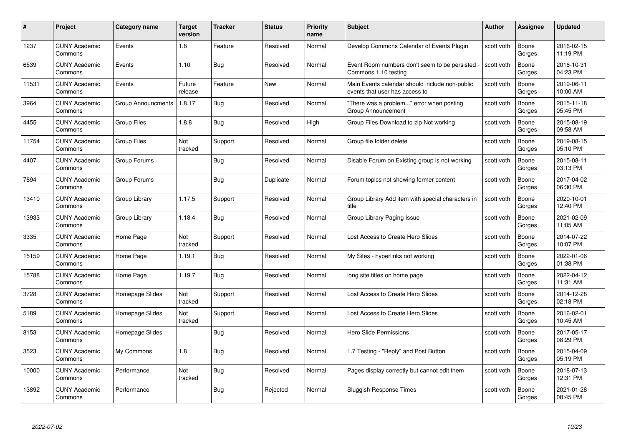| #     | Project                         | Category name             | <b>Target</b><br>version | <b>Tracker</b> | <b>Status</b> | <b>Priority</b><br>name | <b>Subject</b>                                                                   | <b>Author</b> | Assignee        | <b>Updated</b>         |
|-------|---------------------------------|---------------------------|--------------------------|----------------|---------------|-------------------------|----------------------------------------------------------------------------------|---------------|-----------------|------------------------|
| 1237  | <b>CUNY Academic</b><br>Commons | Events                    | 1.8                      | Feature        | Resolved      | Normal                  | Develop Commons Calendar of Events Plugin                                        | scott voth    | Boone<br>Gorges | 2016-02-15<br>11:19 PM |
| 6539  | <b>CUNY Academic</b><br>Commons | Events                    | 1.10                     | Bug            | Resolved      | Normal                  | Event Room numbers don't seem to be persisted<br>Commons 1.10 testing            | scott voth    | Boone<br>Gorges | 2016-10-31<br>04:23 PM |
| 11531 | <b>CUNY Academic</b><br>Commons | Events                    | Future<br>release        | Feature        | <b>New</b>    | Normal                  | Main Events calendar should include non-public<br>events that user has access to | scott voth    | Boone<br>Gorges | 2019-06-11<br>10:00 AM |
| 3964  | <b>CUNY Academic</b><br>Commons | <b>Group Announcments</b> | 1.8.17                   | Bug            | Resolved      | Normal                  | "There was a problem" error when posting<br>Group Announcement                   | scott voth    | Boone<br>Gorges | 2015-11-18<br>05:45 PM |
| 4455  | <b>CUNY Academic</b><br>Commons | <b>Group Files</b>        | 1.8.8                    | Bug            | Resolved      | High                    | Group Files Download to zip Not working                                          | scott voth    | Boone<br>Gorges | 2015-08-19<br>09:58 AM |
| 11754 | <b>CUNY Academic</b><br>Commons | Group Files               | Not<br>tracked           | Support        | Resolved      | Normal                  | Group file folder delete                                                         | scott voth    | Boone<br>Gorges | 2019-08-15<br>05:10 PM |
| 4407  | <b>CUNY Academic</b><br>Commons | Group Forums              |                          | Bug            | Resolved      | Normal                  | Disable Forum on Existing group is not working                                   | scott voth    | Boone<br>Gorges | 2015-08-11<br>03:13 PM |
| 7894  | <b>CUNY Academic</b><br>Commons | Group Forums              |                          | Bug            | Duplicate     | Normal                  | Forum topics not showing former content                                          | scott voth    | Boone<br>Gorges | 2017-04-02<br>06:30 PM |
| 13410 | <b>CUNY Academic</b><br>Commons | Group Library             | 1.17.5                   | Support        | Resolved      | Normal                  | Group Library Add item with special characters in<br>title                       | scott voth    | Boone<br>Gorges | 2020-10-01<br>12:40 PM |
| 13933 | <b>CUNY Academic</b><br>Commons | Group Library             | 1.18.4                   | <b>Bug</b>     | Resolved      | Normal                  | Group Library Paging Issue                                                       | scott voth    | Boone<br>Gorges | 2021-02-09<br>11:05 AM |
| 3335  | <b>CUNY Academic</b><br>Commons | Home Page                 | Not<br>tracked           | Support        | Resolved      | Normal                  | Lost Access to Create Hero Slides                                                | scott voth    | Boone<br>Gorges | 2014-07-22<br>10:07 PM |
| 15159 | <b>CUNY Academic</b><br>Commons | Home Page                 | 1.19.1                   | Bug            | Resolved      | Normal                  | My Sites - hyperlinks not working                                                | scott voth    | Boone<br>Gorges | 2022-01-06<br>01:38 PM |
| 15788 | <b>CUNY Academic</b><br>Commons | Home Page                 | 1.19.7                   | Bug            | Resolved      | Normal                  | long site titles on home page                                                    | scott voth    | Boone<br>Gorges | 2022-04-12<br>11:31 AM |
| 3728  | <b>CUNY Academic</b><br>Commons | Homepage Slides           | Not<br>tracked           | Support        | Resolved      | Normal                  | Lost Access to Create Hero Slides                                                | scott voth    | Boone<br>Gorges | 2014-12-28<br>02:18 PM |
| 5189  | <b>CUNY Academic</b><br>Commons | Homepage Slides           | Not<br>tracked           | Support        | Resolved      | Normal                  | Lost Access to Create Hero Slides                                                | scott voth    | Boone<br>Gorges | 2016-02-01<br>10:45 AM |
| 8153  | <b>CUNY Academic</b><br>Commons | Homepage Slides           |                          | <b>Bug</b>     | Resolved      | Normal                  | Hero Slide Permissions                                                           | scott voth    | Boone<br>Gorges | 2017-05-17<br>08:29 PM |
| 3523  | <b>CUNY Academic</b><br>Commons | My Commons                | 1.8                      | Bug            | Resolved      | Normal                  | 1.7 Testing - "Reply" and Post Button                                            | scott voth    | Boone<br>Gorges | 2015-04-09<br>05:19 PM |
| 10000 | <b>CUNY Academic</b><br>Commons | Performance               | Not<br>tracked           | Bug            | Resolved      | Normal                  | Pages display correctly but cannot edit them                                     | scott voth    | Boone<br>Gorges | 2018-07-13<br>12:31 PM |
| 13892 | <b>CUNY Academic</b><br>Commons | Performance               |                          | Bug            | Rejected      | Normal                  | Sluggish Response Times                                                          | scott voth    | Boone<br>Gorges | 2021-01-28<br>08:45 PM |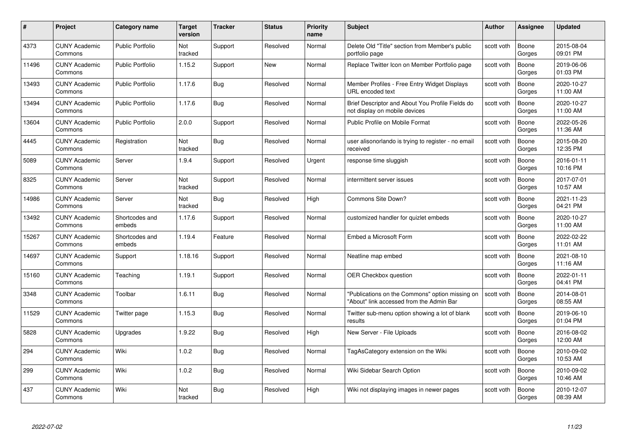| #     | Project                         | <b>Category name</b>     | Target<br>version | <b>Tracker</b> | <b>Status</b> | <b>Priority</b><br>name | <b>Subject</b>                                                                              | <b>Author</b> | Assignee        | <b>Updated</b>         |
|-------|---------------------------------|--------------------------|-------------------|----------------|---------------|-------------------------|---------------------------------------------------------------------------------------------|---------------|-----------------|------------------------|
| 4373  | <b>CUNY Academic</b><br>Commons | <b>Public Portfolio</b>  | Not<br>tracked    | Support        | Resolved      | Normal                  | Delete Old "Title" section from Member's public<br>portfolio page                           | scott voth    | Boone<br>Gorges | 2015-08-04<br>09:01 PM |
| 11496 | <b>CUNY Academic</b><br>Commons | Public Portfolio         | 1.15.2            | Support        | New           | Normal                  | Replace Twitter Icon on Member Portfolio page                                               | scott voth    | Boone<br>Gorges | 2019-06-06<br>01:03 PM |
| 13493 | <b>CUNY Academic</b><br>Commons | <b>Public Portfolio</b>  | 1.17.6            | Bug            | Resolved      | Normal                  | Member Profiles - Free Entry Widget Displays<br>URL encoded text                            | scott voth    | Boone<br>Gorges | 2020-10-27<br>11:00 AM |
| 13494 | <b>CUNY Academic</b><br>Commons | <b>Public Portfolio</b>  | 1.17.6            | Bug            | Resolved      | Normal                  | Brief Descriptor and About You Profile Fields do<br>not display on mobile devices           | scott voth    | Boone<br>Gorges | 2020-10-27<br>11:00 AM |
| 13604 | <b>CUNY Academic</b><br>Commons | <b>Public Portfolio</b>  | 2.0.0             | Support        | Resolved      | Normal                  | Public Profile on Mobile Format                                                             | scott voth    | Boone<br>Gorges | 2022-05-26<br>11:36 AM |
| 4445  | <b>CUNY Academic</b><br>Commons | Registration             | Not<br>tracked    | Bug            | Resolved      | Normal                  | user alisonorlando is trying to register - no email<br>received                             | scott voth    | Boone<br>Gorges | 2015-08-20<br>12:35 PM |
| 5089  | <b>CUNY Academic</b><br>Commons | Server                   | 1.9.4             | Support        | Resolved      | Urgent                  | response time sluggish                                                                      | scott voth    | Boone<br>Gorges | 2016-01-11<br>10:16 PM |
| 8325  | <b>CUNY Academic</b><br>Commons | Server                   | Not<br>tracked    | Support        | Resolved      | Normal                  | intermittent server issues                                                                  | scott voth    | Boone<br>Gorges | 2017-07-01<br>10:57 AM |
| 14986 | <b>CUNY Academic</b><br>Commons | Server                   | Not<br>tracked    | <b>Bug</b>     | Resolved      | High                    | Commons Site Down?                                                                          | scott voth    | Boone<br>Gorges | 2021-11-23<br>04:21 PM |
| 13492 | <b>CUNY Academic</b><br>Commons | Shortcodes and<br>embeds | 1.17.6            | Support        | Resolved      | Normal                  | customized handler for quizlet embeds                                                       | scott voth    | Boone<br>Gorges | 2020-10-27<br>11:00 AM |
| 15267 | CUNY Academic<br>Commons        | Shortcodes and<br>embeds | 1.19.4            | Feature        | Resolved      | Normal                  | Embed a Microsoft Form                                                                      | scott voth    | Boone<br>Gorges | 2022-02-22<br>11:01 AM |
| 14697 | <b>CUNY Academic</b><br>Commons | Support                  | 1.18.16           | Support        | Resolved      | Normal                  | Neatline map embed                                                                          | scott voth    | Boone<br>Gorges | 2021-08-10<br>11:16 AM |
| 15160 | <b>CUNY Academic</b><br>Commons | Teaching                 | 1.19.1            | Support        | Resolved      | Normal                  | <b>OER Checkbox question</b>                                                                | scott voth    | Boone<br>Gorges | 2022-01-11<br>04:41 PM |
| 3348  | <b>CUNY Academic</b><br>Commons | Toolbar                  | 1.6.11            | <b>Bug</b>     | Resolved      | Normal                  | "Publications on the Commons" option missing on<br>"About" link accessed from the Admin Bar | scott voth    | Boone<br>Gorges | 2014-08-01<br>08:55 AM |
| 11529 | <b>CUNY Academic</b><br>Commons | Twitter page             | 1.15.3            | <b>Bug</b>     | Resolved      | Normal                  | Twitter sub-menu option showing a lot of blank<br>results                                   | scott voth    | Boone<br>Gorges | 2019-06-10<br>01:04 PM |
| 5828  | <b>CUNY Academic</b><br>Commons | Upgrades                 | 1.9.22            | Bug            | Resolved      | High                    | New Server - File Uploads                                                                   | scott voth    | Boone<br>Gorges | 2016-08-02<br>12:00 AM |
| 294   | <b>CUNY Academic</b><br>Commons | Wiki                     | 1.0.2             | <b>Bug</b>     | Resolved      | Normal                  | TagAsCategory extension on the Wiki                                                         | scott voth    | Boone<br>Gorges | 2010-09-02<br>10:53 AM |
| 299   | <b>CUNY Academic</b><br>Commons | Wiki                     | 1.0.2             | <b>Bug</b>     | Resolved      | Normal                  | Wiki Sidebar Search Option                                                                  | scott voth    | Boone<br>Gorges | 2010-09-02<br>10:46 AM |
| 437   | <b>CUNY Academic</b><br>Commons | Wiki                     | Not<br>tracked    | Bug            | Resolved      | High                    | Wiki not displaying images in newer pages                                                   | scott voth    | Boone<br>Gorges | 2010-12-07<br>08:39 AM |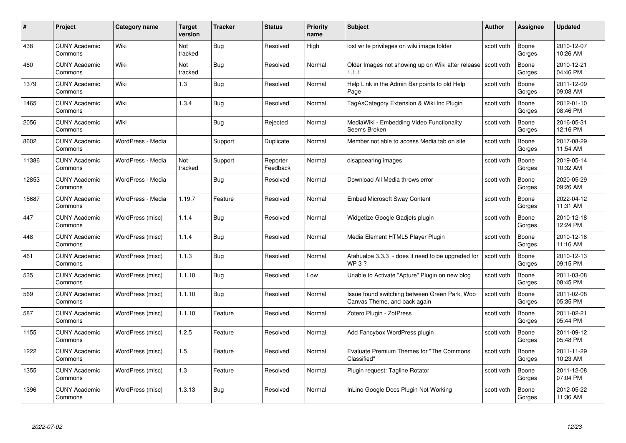| #     | Project                         | Category name     | <b>Target</b><br>version | <b>Tracker</b> | <b>Status</b>        | <b>Priority</b><br>name | <b>Subject</b>                                                                | Author     | Assignee        | <b>Updated</b>         |
|-------|---------------------------------|-------------------|--------------------------|----------------|----------------------|-------------------------|-------------------------------------------------------------------------------|------------|-----------------|------------------------|
| 438   | <b>CUNY Academic</b><br>Commons | Wiki              | Not<br>tracked           | Bug            | Resolved             | High                    | lost write privileges on wiki image folder                                    | scott voth | Boone<br>Gorges | 2010-12-07<br>10:26 AM |
| 460   | <b>CUNY Academic</b><br>Commons | Wiki              | Not<br>tracked           | Bug            | Resolved             | Normal                  | Older Images not showing up on Wiki after release scott voth<br>1.1.1         |            | Boone<br>Gorges | 2010-12-21<br>04:46 PM |
| 1379  | <b>CUNY Academic</b><br>Commons | Wiki              | 1.3                      | Bug            | Resolved             | Normal                  | Help Link in the Admin Bar points to old Help<br>Page                         | scott voth | Boone<br>Gorges | 2011-12-09<br>09:08 AM |
| 1465  | <b>CUNY Academic</b><br>Commons | Wiki              | 1.3.4                    | <b>Bug</b>     | Resolved             | Normal                  | TagAsCategory Extension & Wiki Inc Plugin                                     | scott voth | Boone<br>Gorges | 2012-01-10<br>08:46 PM |
| 2056  | <b>CUNY Academic</b><br>Commons | Wiki              |                          | Bug            | Rejected             | Normal                  | MediaWiki - Embedding Video Functionality<br>Seems Broken                     | scott voth | Boone<br>Gorges | 2016-05-31<br>12:16 PM |
| 8602  | <b>CUNY Academic</b><br>Commons | WordPress - Media |                          | Support        | Duplicate            | Normal                  | Member not able to access Media tab on site                                   | scott voth | Boone<br>Gorges | 2017-08-29<br>11:54 AM |
| 11386 | <b>CUNY Academic</b><br>Commons | WordPress - Media | Not<br>tracked           | Support        | Reporter<br>Feedback | Normal                  | disappearing images                                                           | scott voth | Boone<br>Gorges | 2019-05-14<br>10:32 AM |
| 12853 | <b>CUNY Academic</b><br>Commons | WordPress - Media |                          | <b>Bug</b>     | Resolved             | Normal                  | Download All Media throws error                                               | scott voth | Boone<br>Gorges | 2020-05-29<br>09:26 AM |
| 15687 | <b>CUNY Academic</b><br>Commons | WordPress - Media | 1.19.7                   | Feature        | Resolved             | Normal                  | <b>Embed Microsoft Sway Content</b>                                           | scott voth | Boone<br>Gorges | 2022-04-12<br>11:31 AM |
| 447   | <b>CUNY Academic</b><br>Commons | WordPress (misc)  | 1.1.4                    | Bug            | Resolved             | Normal                  | Widgetize Google Gadjets plugin                                               | scott voth | Boone<br>Gorges | 2010-12-18<br>12:24 PM |
| 448   | <b>CUNY Academic</b><br>Commons | WordPress (misc)  | 1.1.4                    | Bug            | Resolved             | Normal                  | Media Element HTML5 Player Plugin                                             | scott voth | Boone<br>Gorges | 2010-12-18<br>11:16 AM |
| 461   | <b>CUNY Academic</b><br>Commons | WordPress (misc)  | 1.1.3                    | Bug            | Resolved             | Normal                  | Atahualpa 3.3.3 - does it need to be upgraded for<br><b>WP3?</b>              | scott voth | Boone<br>Gorges | 2010-12-13<br>09:15 PM |
| 535   | <b>CUNY Academic</b><br>Commons | WordPress (misc)  | 1.1.10                   | Bug            | Resolved             | Low                     | Unable to Activate "Apture" Plugin on new blog                                | scott voth | Boone<br>Gorges | 2011-03-08<br>08:45 PM |
| 569   | <b>CUNY Academic</b><br>Commons | WordPress (misc)  | 1.1.10                   | Bug            | Resolved             | Normal                  | Issue found switching between Green Park, Woo<br>Canvas Theme, and back again | scott voth | Boone<br>Gorges | 2011-02-08<br>05:35 PM |
| 587   | <b>CUNY Academic</b><br>Commons | WordPress (misc)  | 1.1.10                   | Feature        | Resolved             | Normal                  | Zotero Plugin - ZotPress                                                      | scott voth | Boone<br>Gorges | 2011-02-21<br>05:44 PM |
| 1155  | <b>CUNY Academic</b><br>Commons | WordPress (misc)  | 1.2.5                    | Feature        | Resolved             | Normal                  | Add Fancybox WordPress plugin                                                 | scott voth | Boone<br>Gorges | 2011-09-12<br>05:48 PM |
| 1222  | <b>CUNY Academic</b><br>Commons | WordPress (misc)  | 1.5                      | Feature        | Resolved             | Normal                  | Evaluate Premium Themes for "The Commons"<br>Classified"                      | scott voth | Boone<br>Gorges | 2011-11-29<br>10:23 AM |
| 1355  | <b>CUNY Academic</b><br>Commons | WordPress (misc)  | 1.3                      | Feature        | Resolved             | Normal                  | Plugin request: Tagline Rotator                                               | scott voth | Boone<br>Gorges | 2011-12-08<br>07:04 PM |
| 1396  | <b>CUNY Academic</b><br>Commons | WordPress (misc)  | 1.3.13                   | Bug            | Resolved             | Normal                  | InLine Google Docs Plugin Not Working                                         | scott voth | Boone<br>Gorges | 2012-05-22<br>11:36 AM |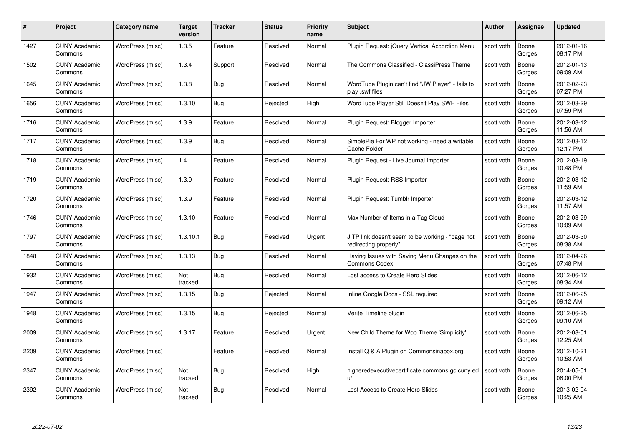| #    | Project                         | <b>Category name</b> | Target<br>version | <b>Tracker</b> | <b>Status</b> | <b>Priority</b><br>name | <b>Subject</b>                                                            | <b>Author</b> | <b>Assignee</b> | <b>Updated</b>         |
|------|---------------------------------|----------------------|-------------------|----------------|---------------|-------------------------|---------------------------------------------------------------------------|---------------|-----------------|------------------------|
| 1427 | <b>CUNY Academic</b><br>Commons | WordPress (misc)     | 1.3.5             | Feature        | Resolved      | Normal                  | Plugin Request: jQuery Vertical Accordion Menu                            | scott voth    | Boone<br>Gorges | 2012-01-16<br>08:17 PM |
| 1502 | <b>CUNY Academic</b><br>Commons | WordPress (misc)     | 1.3.4             | Support        | Resolved      | Normal                  | The Commons Classified - ClassiPress Theme                                | scott voth    | Boone<br>Gorges | 2012-01-13<br>09:09 AM |
| 1645 | <b>CUNY Academic</b><br>Commons | WordPress (misc)     | 1.3.8             | <b>Bug</b>     | Resolved      | Normal                  | WordTube Plugin can't find "JW Player" - fails to<br>play .swf files      | scott voth    | Boone<br>Gorges | 2012-02-23<br>07:27 PM |
| 1656 | <b>CUNY Academic</b><br>Commons | WordPress (misc)     | 1.3.10            | Bug            | Rejected      | High                    | WordTube Player Still Doesn't Play SWF Files                              | scott voth    | Boone<br>Gorges | 2012-03-29<br>07:59 PM |
| 1716 | CUNY Academic<br>Commons        | WordPress (misc)     | 1.3.9             | Feature        | Resolved      | Normal                  | Plugin Request: Blogger Importer                                          | scott voth    | Boone<br>Gorges | 2012-03-12<br>11:56 AM |
| 1717 | <b>CUNY Academic</b><br>Commons | WordPress (misc)     | 1.3.9             | <b>Bug</b>     | Resolved      | Normal                  | SimplePie For WP not working - need a writable<br>Cache Folder            | scott voth    | Boone<br>Gorges | 2012-03-12<br>12:17 PM |
| 1718 | <b>CUNY Academic</b><br>Commons | WordPress (misc)     | 1.4               | Feature        | Resolved      | Normal                  | Plugin Request - Live Journal Importer                                    | scott voth    | Boone<br>Gorges | 2012-03-19<br>10:48 PM |
| 1719 | <b>CUNY Academic</b><br>Commons | WordPress (misc)     | 1.3.9             | Feature        | Resolved      | Normal                  | Plugin Request: RSS Importer                                              | scott voth    | Boone<br>Gorges | 2012-03-12<br>11:59 AM |
| 1720 | <b>CUNY Academic</b><br>Commons | WordPress (misc)     | 1.3.9             | Feature        | Resolved      | Normal                  | Plugin Request: Tumblr Importer                                           | scott voth    | Boone<br>Gorges | 2012-03-12<br>11:57 AM |
| 1746 | <b>CUNY Academic</b><br>Commons | WordPress (misc)     | 1.3.10            | Feature        | Resolved      | Normal                  | Max Number of Items in a Tag Cloud                                        | scott voth    | Boone<br>Gorges | 2012-03-29<br>10:09 AM |
| 1797 | CUNY Academic<br>Commons        | WordPress (misc)     | 1.3.10.1          | Bug            | Resolved      | Urgent                  | JITP link doesn't seem to be working - "page not<br>redirecting properly" | scott voth    | Boone<br>Gorges | 2012-03-30<br>08:38 AM |
| 1848 | <b>CUNY Academic</b><br>Commons | WordPress (misc)     | 1.3.13            | <b>Bug</b>     | Resolved      | Normal                  | Having Issues with Saving Menu Changes on the<br><b>Commons Codex</b>     | scott voth    | Boone<br>Gorges | 2012-04-26<br>07:48 PM |
| 1932 | <b>CUNY Academic</b><br>Commons | WordPress (misc)     | Not<br>tracked    | Bug            | Resolved      | Normal                  | Lost access to Create Hero Slides                                         | scott voth    | Boone<br>Gorges | 2012-06-12<br>08:34 AM |
| 1947 | <b>CUNY Academic</b><br>Commons | WordPress (misc)     | 1.3.15            | <b>Bug</b>     | Rejected      | Normal                  | Inline Google Docs - SSL required                                         | scott voth    | Boone<br>Gorges | 2012-06-25<br>09:12 AM |
| 1948 | <b>CUNY Academic</b><br>Commons | WordPress (misc)     | 1.3.15            | <b>Bug</b>     | Rejected      | Normal                  | Verite Timeline plugin                                                    | scott voth    | Boone<br>Gorges | 2012-06-25<br>09:10 AM |
| 2009 | <b>CUNY Academic</b><br>Commons | WordPress (misc)     | 1.3.17            | Feature        | Resolved      | Urgent                  | New Child Theme for Woo Theme 'Simplicity'                                | scott voth    | Boone<br>Gorges | 2012-08-01<br>12:25 AM |
| 2209 | <b>CUNY Academic</b><br>Commons | WordPress (misc)     |                   | Feature        | Resolved      | Normal                  | Install Q & A Plugin on Commonsinabox.org                                 | scott voth    | Boone<br>Gorges | 2012-10-21<br>10:53 AM |
| 2347 | <b>CUNY Academic</b><br>Commons | WordPress (misc)     | Not<br>tracked    | Bug            | Resolved      | High                    | higheredexecutivecertificate.commons.gc.cuny.ed<br>u/                     | scott voth    | Boone<br>Gorges | 2014-05-01<br>08:00 PM |
| 2392 | CUNY Academic<br>Commons        | WordPress (misc)     | Not<br>tracked    | <b>Bug</b>     | Resolved      | Normal                  | Lost Access to Create Hero Slides                                         | scott voth    | Boone<br>Gorges | 2013-02-04<br>10:25 AM |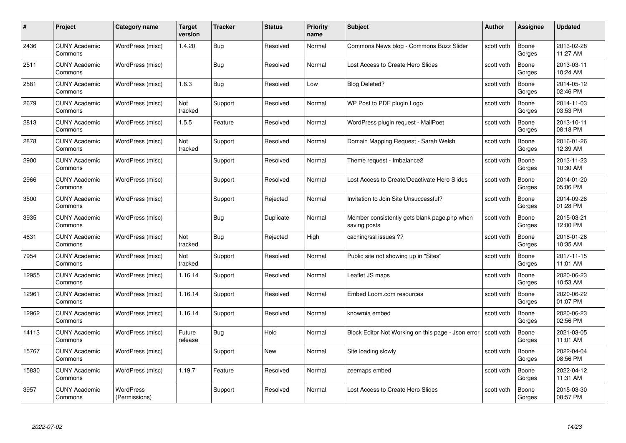| #     | Project                         | <b>Category name</b>              | Target<br>version | <b>Tracker</b> | <b>Status</b> | <b>Priority</b><br>name | <b>Subject</b>                                               | <b>Author</b> | <b>Assignee</b> | <b>Updated</b>         |
|-------|---------------------------------|-----------------------------------|-------------------|----------------|---------------|-------------------------|--------------------------------------------------------------|---------------|-----------------|------------------------|
| 2436  | <b>CUNY Academic</b><br>Commons | WordPress (misc)                  | 1.4.20            | Bug            | Resolved      | Normal                  | Commons News blog - Commons Buzz Slider                      | scott voth    | Boone<br>Gorges | 2013-02-28<br>11:27 AM |
| 2511  | <b>CUNY Academic</b><br>Commons | WordPress (misc)                  |                   | Bug            | Resolved      | Normal                  | Lost Access to Create Hero Slides                            | scott voth    | Boone<br>Gorges | 2013-03-11<br>10:24 AM |
| 2581  | <b>CUNY Academic</b><br>Commons | WordPress (misc)                  | 1.6.3             | Bug            | Resolved      | Low                     | <b>Blog Deleted?</b>                                         | scott voth    | Boone<br>Gorges | 2014-05-12<br>02:46 PM |
| 2679  | <b>CUNY Academic</b><br>Commons | WordPress (misc)                  | Not<br>tracked    | Support        | Resolved      | Normal                  | WP Post to PDF plugin Logo                                   | scott voth    | Boone<br>Gorges | 2014-11-03<br>03:53 PM |
| 2813  | CUNY Academic<br>Commons        | WordPress (misc)                  | 1.5.5             | Feature        | Resolved      | Normal                  | WordPress plugin request - MailPoet                          | scott voth    | Boone<br>Gorges | 2013-10-11<br>08:18 PM |
| 2878  | <b>CUNY Academic</b><br>Commons | WordPress (misc)                  | Not<br>tracked    | Support        | Resolved      | Normal                  | Domain Mapping Request - Sarah Welsh                         | scott voth    | Boone<br>Gorges | 2016-01-26<br>12:39 AM |
| 2900  | <b>CUNY Academic</b><br>Commons | WordPress (misc)                  |                   | Support        | Resolved      | Normal                  | Theme request - Imbalance2                                   | scott voth    | Boone<br>Gorges | 2013-11-23<br>10:30 AM |
| 2966  | <b>CUNY Academic</b><br>Commons | WordPress (misc)                  |                   | Support        | Resolved      | Normal                  | Lost Access to Create/Deactivate Hero Slides                 | scott voth    | Boone<br>Gorges | 2014-01-20<br>05:06 PM |
| 3500  | <b>CUNY Academic</b><br>Commons | WordPress (misc)                  |                   | Support        | Rejected      | Normal                  | Invitation to Join Site Unsuccessful?                        | scott voth    | Boone<br>Gorges | 2014-09-28<br>01:28 PM |
| 3935  | <b>CUNY Academic</b><br>Commons | WordPress (misc)                  |                   | Bug            | Duplicate     | Normal                  | Member consistently gets blank page.php when<br>saving posts | scott voth    | Boone<br>Gorges | 2015-03-21<br>12:00 PM |
| 4631  | CUNY Academic<br>Commons        | WordPress (misc)                  | Not<br>tracked    | Bug            | Rejected      | High                    | caching/ssl issues ??                                        | scott voth    | Boone<br>Gorges | 2016-01-26<br>10:35 AM |
| 7954  | <b>CUNY Academic</b><br>Commons | WordPress (misc)                  | Not<br>tracked    | Support        | Resolved      | Normal                  | Public site not showing up in "Sites"                        | scott voth    | Boone<br>Gorges | 2017-11-15<br>11:01 AM |
| 12955 | <b>CUNY Academic</b><br>Commons | WordPress (misc)                  | 1.16.14           | Support        | Resolved      | Normal                  | Leaflet JS maps                                              | scott voth    | Boone<br>Gorges | 2020-06-23<br>10:53 AM |
| 12961 | <b>CUNY Academic</b><br>Commons | WordPress (misc)                  | 1.16.14           | Support        | Resolved      | Normal                  | Embed Loom.com resources                                     | scott voth    | Boone<br>Gorges | 2020-06-22<br>01:07 PM |
| 12962 | <b>CUNY Academic</b><br>Commons | WordPress (misc)                  | 1.16.14           | Support        | Resolved      | Normal                  | knowmia embed                                                | scott voth    | Boone<br>Gorges | 2020-06-23<br>02:56 PM |
| 14113 | <b>CUNY Academic</b><br>Commons | WordPress (misc)                  | Future<br>release | Bug            | Hold          | Normal                  | Block Editor Not Working on this page - Json error           | scott voth    | Boone<br>Gorges | 2021-03-05<br>11:01 AM |
| 15767 | <b>CUNY Academic</b><br>Commons | WordPress (misc)                  |                   | Support        | New           | Normal                  | Site loading slowly                                          | scott voth    | Boone<br>Gorges | 2022-04-04<br>08:56 PM |
| 15830 | <b>CUNY Academic</b><br>Commons | WordPress (misc)                  | 1.19.7            | Feature        | Resolved      | Normal                  | zeemaps embed                                                | scott voth    | Boone<br>Gorges | 2022-04-12<br>11:31 AM |
| 3957  | <b>CUNY Academic</b><br>Commons | <b>WordPress</b><br>(Permissions) |                   | Support        | Resolved      | Normal                  | Lost Access to Create Hero Slides                            | scott voth    | Boone<br>Gorges | 2015-03-30<br>08:57 PM |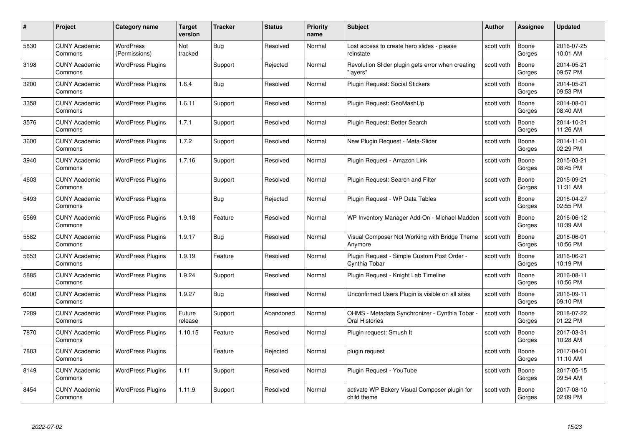| #    | Project                         | Category name                     | Target<br>version | <b>Tracker</b> | <b>Status</b> | <b>Priority</b><br>name | <b>Subject</b>                                                        | Author     | <b>Assignee</b> | <b>Updated</b>         |
|------|---------------------------------|-----------------------------------|-------------------|----------------|---------------|-------------------------|-----------------------------------------------------------------------|------------|-----------------|------------------------|
| 5830 | <b>CUNY Academic</b><br>Commons | <b>WordPress</b><br>(Permissions) | Not<br>tracked    | <b>Bug</b>     | Resolved      | Normal                  | Lost access to create hero slides - please<br>reinstate               | scott voth | Boone<br>Gorges | 2016-07-25<br>10:01 AM |
| 3198 | <b>CUNY Academic</b><br>Commons | <b>WordPress Plugins</b>          |                   | Support        | Rejected      | Normal                  | Revolution Slider plugin gets error when creating<br>"lavers"         | scott voth | Boone<br>Gorges | 2014-05-21<br>09:57 PM |
| 3200 | CUNY Academic<br>Commons        | <b>WordPress Plugins</b>          | 1.6.4             | <b>Bug</b>     | Resolved      | Normal                  | Plugin Request: Social Stickers                                       | scott voth | Boone<br>Gorges | 2014-05-21<br>09:53 PM |
| 3358 | <b>CUNY Academic</b><br>Commons | <b>WordPress Plugins</b>          | 1.6.11            | Support        | Resolved      | Normal                  | Plugin Request: GeoMashUp                                             | scott voth | Boone<br>Gorges | 2014-08-01<br>08:40 AM |
| 3576 | <b>CUNY Academic</b><br>Commons | <b>WordPress Plugins</b>          | 1.7.1             | Support        | Resolved      | Normal                  | Plugin Request: Better Search                                         | scott voth | Boone<br>Gorges | 2014-10-21<br>11:26 AM |
| 3600 | <b>CUNY Academic</b><br>Commons | <b>WordPress Plugins</b>          | 1.7.2             | Support        | Resolved      | Normal                  | New Plugin Request - Meta-Slider                                      | scott voth | Boone<br>Gorges | 2014-11-01<br>02:29 PM |
| 3940 | <b>CUNY Academic</b><br>Commons | <b>WordPress Plugins</b>          | 1.7.16            | Support        | Resolved      | Normal                  | Plugin Request - Amazon Link                                          | scott voth | Boone<br>Gorges | 2015-03-21<br>08:45 PM |
| 4603 | <b>CUNY Academic</b><br>Commons | <b>WordPress Plugins</b>          |                   | Support        | Resolved      | Normal                  | Plugin Request: Search and Filter                                     | scott voth | Boone<br>Gorges | 2015-09-21<br>11:31 AM |
| 5493 | <b>CUNY Academic</b><br>Commons | <b>WordPress Plugins</b>          |                   | <b>Bug</b>     | Rejected      | Normal                  | Plugin Request - WP Data Tables                                       | scott voth | Boone<br>Gorges | 2016-04-27<br>02:55 PM |
| 5569 | <b>CUNY Academic</b><br>Commons | <b>WordPress Plugins</b>          | 1.9.18            | Feature        | Resolved      | Normal                  | WP Inventory Manager Add-On - Michael Madden                          | scott voth | Boone<br>Gorges | 2016-06-12<br>10:39 AM |
| 5582 | <b>CUNY Academic</b><br>Commons | <b>WordPress Plugins</b>          | 1.9.17            | <b>Bug</b>     | Resolved      | Normal                  | Visual Composer Not Working with Bridge Theme<br>Anymore              | scott voth | Boone<br>Gorges | 2016-06-01<br>10:56 PM |
| 5653 | <b>CUNY Academic</b><br>Commons | <b>WordPress Plugins</b>          | 1.9.19            | Feature        | Resolved      | Normal                  | Plugin Request - Simple Custom Post Order -<br>Cynthia Tobar          | scott voth | Boone<br>Gorges | 2016-06-21<br>10:19 PM |
| 5885 | <b>CUNY Academic</b><br>Commons | <b>WordPress Plugins</b>          | 1.9.24            | Support        | Resolved      | Normal                  | Plugin Request - Knight Lab Timeline                                  | scott voth | Boone<br>Gorges | 2016-08-11<br>10:56 PM |
| 6000 | <b>CUNY Academic</b><br>Commons | <b>WordPress Plugins</b>          | 1.9.27            | <b>Bug</b>     | Resolved      | Normal                  | Unconfirmed Users Plugin is visible on all sites                      | scott voth | Boone<br>Gorges | 2016-09-11<br>09:10 PM |
| 7289 | <b>CUNY Academic</b><br>Commons | <b>WordPress Plugins</b>          | Future<br>release | Support        | Abandoned     | Normal                  | OHMS - Metadata Synchronizer - Cynthia Tobar<br><b>Oral Histories</b> | scott voth | Boone<br>Gorges | 2018-07-22<br>01:22 PM |
| 7870 | <b>CUNY Academic</b><br>Commons | <b>WordPress Plugins</b>          | 1.10.15           | Feature        | Resolved      | Normal                  | Plugin request: Smush It                                              | scott voth | Boone<br>Gorges | 2017-03-31<br>10:28 AM |
| 7883 | <b>CUNY Academic</b><br>Commons | <b>WordPress Plugins</b>          |                   | Feature        | Rejected      | Normal                  | plugin request                                                        | scott voth | Boone<br>Gorges | 2017-04-01<br>11:10 AM |
| 8149 | <b>CUNY Academic</b><br>Commons | <b>WordPress Plugins</b>          | 1.11              | Support        | Resolved      | Normal                  | Plugin Request - YouTube                                              | scott voth | Boone<br>Gorges | 2017-05-15<br>09:54 AM |
| 8454 | CUNY Academic<br>Commons        | <b>WordPress Plugins</b>          | 1.11.9            | Support        | Resolved      | Normal                  | activate WP Bakery Visual Composer plugin for<br>child theme          | scott voth | Boone<br>Gorges | 2017-08-10<br>02:09 PM |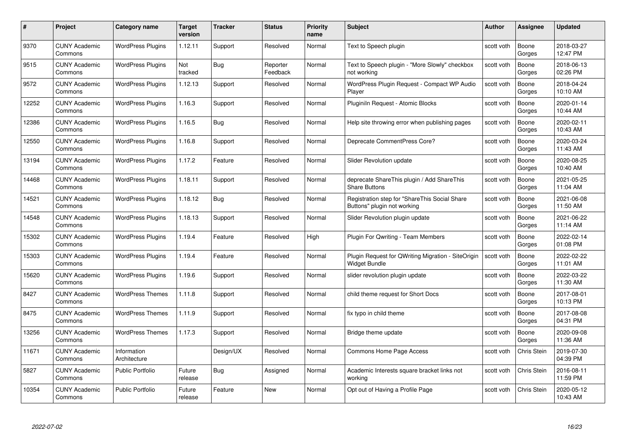| #     | Project                         | <b>Category name</b>        | Target<br>version | <b>Tracker</b> | <b>Status</b>        | <b>Priority</b><br>name | <b>Subject</b>                                                               | <b>Author</b> | <b>Assignee</b>    | <b>Updated</b>         |
|-------|---------------------------------|-----------------------------|-------------------|----------------|----------------------|-------------------------|------------------------------------------------------------------------------|---------------|--------------------|------------------------|
| 9370  | <b>CUNY Academic</b><br>Commons | <b>WordPress Plugins</b>    | 1.12.11           | Support        | Resolved             | Normal                  | Text to Speech plugin                                                        | scott voth    | Boone<br>Gorges    | 2018-03-27<br>12:47 PM |
| 9515  | <b>CUNY Academic</b><br>Commons | <b>WordPress Plugins</b>    | Not<br>tracked    | Bug            | Reporter<br>Feedback | Normal                  | Text to Speech plugin - "More Slowly" checkbox<br>not working                | scott voth    | Boone<br>Gorges    | 2018-06-13<br>02:26 PM |
| 9572  | <b>CUNY Academic</b><br>Commons | <b>WordPress Plugins</b>    | 1.12.13           | Support        | Resolved             | Normal                  | WordPress Plugin Request - Compact WP Audio<br>Player                        | scott voth    | Boone<br>Gorges    | 2018-04-24<br>10:10 AM |
| 12252 | <b>CUNY Academic</b><br>Commons | <b>WordPress Plugins</b>    | 1.16.3            | Support        | Resolved             | Normal                  | Pluginiln Request - Atomic Blocks                                            | scott voth    | Boone<br>Gorges    | 2020-01-14<br>10:44 AM |
| 12386 | <b>CUNY Academic</b><br>Commons | <b>WordPress Plugins</b>    | 1.16.5            | Bug            | Resolved             | Normal                  | Help site throwing error when publishing pages                               | scott voth    | Boone<br>Gorges    | 2020-02-11<br>10:43 AM |
| 12550 | <b>CUNY Academic</b><br>Commons | <b>WordPress Plugins</b>    | 1.16.8            | Support        | Resolved             | Normal                  | Deprecate CommentPress Core?                                                 | scott voth    | Boone<br>Gorges    | 2020-03-24<br>11:43 AM |
| 13194 | <b>CUNY Academic</b><br>Commons | <b>WordPress Plugins</b>    | 1.17.2            | Feature        | Resolved             | Normal                  | Slider Revolution update                                                     | scott voth    | Boone<br>Gorges    | 2020-08-25<br>10:40 AM |
| 14468 | <b>CUNY Academic</b><br>Commons | <b>WordPress Plugins</b>    | 1.18.11           | Support        | Resolved             | Normal                  | deprecate ShareThis plugin / Add ShareThis<br><b>Share Buttons</b>           | scott voth    | Boone<br>Gorges    | 2021-05-25<br>11:04 AM |
| 14521 | <b>CUNY Academic</b><br>Commons | <b>WordPress Plugins</b>    | 1.18.12           | <b>Bug</b>     | Resolved             | Normal                  | Registration step for "ShareThis Social Share<br>Buttons" plugin not working | scott voth    | Boone<br>Gorges    | 2021-06-08<br>11:50 AM |
| 14548 | <b>CUNY Academic</b><br>Commons | <b>WordPress Plugins</b>    | 1.18.13           | Support        | Resolved             | Normal                  | Slider Revolution plugin update                                              | scott voth    | Boone<br>Gorges    | 2021-06-22<br>11:14 AM |
| 15302 | CUNY Academic<br>Commons        | <b>WordPress Plugins</b>    | 1.19.4            | Feature        | Resolved             | High                    | <b>Plugin For Qwriting - Team Members</b>                                    | scott voth    | Boone<br>Gorges    | 2022-02-14<br>01:08 PM |
| 15303 | <b>CUNY Academic</b><br>Commons | <b>WordPress Plugins</b>    | 1.19.4            | Feature        | Resolved             | Normal                  | Plugin Request for QWriting Migration - SiteOrigin<br>Widget Bundle          | scott voth    | Boone<br>Gorges    | 2022-02-22<br>11:01 AM |
| 15620 | <b>CUNY Academic</b><br>Commons | <b>WordPress Plugins</b>    | 1.19.6            | Support        | Resolved             | Normal                  | slider revolution plugin update                                              | scott voth    | Boone<br>Gorges    | 2022-03-22<br>11:30 AM |
| 8427  | <b>CUNY Academic</b><br>Commons | <b>WordPress Themes</b>     | 1.11.8            | Support        | Resolved             | Normal                  | child theme request for Short Docs                                           | scott voth    | Boone<br>Gorges    | 2017-08-01<br>10:13 PM |
| 8475  | <b>CUNY Academic</b><br>Commons | <b>WordPress Themes</b>     | 1.11.9            | Support        | Resolved             | Normal                  | fix typo in child theme                                                      | scott voth    | Boone<br>Gorges    | 2017-08-08<br>04:31 PM |
| 13256 | <b>CUNY Academic</b><br>Commons | <b>WordPress Themes</b>     | 1.17.3            | Support        | Resolved             | Normal                  | Bridge theme update                                                          | scott voth    | Boone<br>Gorges    | 2020-09-08<br>11:36 AM |
| 11671 | <b>CUNY Academic</b><br>Commons | Information<br>Architecture |                   | Design/UX      | Resolved             | Normal                  | Commons Home Page Access                                                     | scott voth    | Chris Stein        | 2019-07-30<br>04:39 PM |
| 5827  | <b>CUNY Academic</b><br>Commons | <b>Public Portfolio</b>     | Future<br>release | <b>Bug</b>     | Assigned             | Normal                  | Academic Interests square bracket links not<br>working                       | scott voth    | Chris Stein        | 2016-08-11<br>11:59 PM |
| 10354 | <b>CUNY Academic</b><br>Commons | <b>Public Portfolio</b>     | Future<br>release | Feature        | <b>New</b>           | Normal                  | Opt out of Having a Profile Page                                             | scott voth    | <b>Chris Stein</b> | 2020-05-12<br>10:43 AM |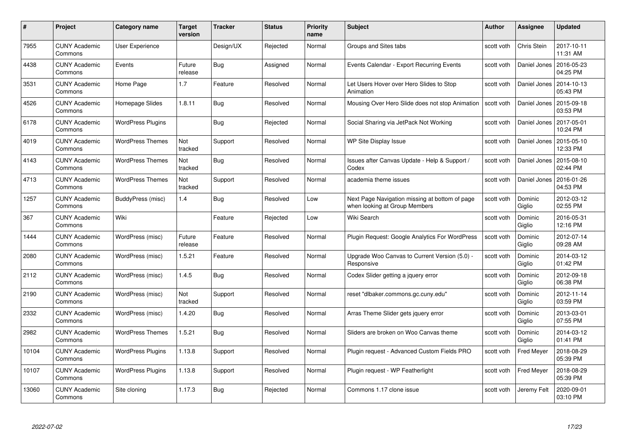| #     | Project                         | <b>Category name</b>     | Target<br>version | <b>Tracker</b> | <b>Status</b> | <b>Priority</b><br>name | <b>Subject</b>                                                                  | <b>Author</b> | Assignee          | <b>Updated</b>         |
|-------|---------------------------------|--------------------------|-------------------|----------------|---------------|-------------------------|---------------------------------------------------------------------------------|---------------|-------------------|------------------------|
| 7955  | <b>CUNY Academic</b><br>Commons | <b>User Experience</b>   |                   | Design/UX      | Rejected      | Normal                  | Groups and Sites tabs                                                           | scott voth    | Chris Stein       | 2017-10-11<br>11:31 AM |
| 4438  | <b>CUNY Academic</b><br>Commons | Events                   | Future<br>release | <b>Bug</b>     | Assigned      | Normal                  | Events Calendar - Export Recurring Events                                       | scott voth    | Daniel Jones      | 2016-05-23<br>04:25 PM |
| 3531  | <b>CUNY Academic</b><br>Commons | Home Page                | 1.7               | Feature        | Resolved      | Normal                  | Let Users Hover over Hero Slides to Stop<br>Animation                           | scott voth    | Daniel Jones      | 2014-10-13<br>05:43 PM |
| 4526  | <b>CUNY Academic</b><br>Commons | Homepage Slides          | 1.8.11            | Bug            | Resolved      | Normal                  | Mousing Over Hero Slide does not stop Animation                                 | scott voth    | Daniel Jones      | 2015-09-18<br>03:53 PM |
| 6178  | CUNY Academic<br>Commons        | <b>WordPress Plugins</b> |                   | <b>Bug</b>     | Rejected      | Normal                  | Social Sharing via JetPack Not Working                                          | scott voth    | Daniel Jones      | 2017-05-01<br>10:24 PM |
| 4019  | <b>CUNY Academic</b><br>Commons | <b>WordPress Themes</b>  | Not<br>tracked    | Support        | Resolved      | Normal                  | WP Site Display Issue                                                           | scott voth    | Daniel Jones      | 2015-05-10<br>12:33 PM |
| 4143  | <b>CUNY Academic</b><br>Commons | <b>WordPress Themes</b>  | Not<br>tracked    | Bug            | Resolved      | Normal                  | Issues after Canvas Update - Help & Support /<br>Codex                          | scott voth    | Daniel Jones      | 2015-08-10<br>02:44 PM |
| 4713  | <b>CUNY Academic</b><br>Commons | <b>WordPress Themes</b>  | Not<br>tracked    | Support        | Resolved      | Normal                  | academia theme issues                                                           | scott voth    | Daniel Jones      | 2016-01-26<br>04:53 PM |
| 1257  | <b>CUNY Academic</b><br>Commons | BuddyPress (misc)        | 1.4               | <b>Bug</b>     | Resolved      | Low                     | Next Page Navigation missing at bottom of page<br>when looking at Group Members | scott voth    | Dominic<br>Giglio | 2012-03-12<br>02:55 PM |
| 367   | <b>CUNY Academic</b><br>Commons | Wiki                     |                   | Feature        | Rejected      | Low                     | Wiki Search                                                                     | scott voth    | Dominic<br>Giglio | 2016-05-31<br>12:16 PM |
| 1444  | CUNY Academic<br>Commons        | WordPress (misc)         | Future<br>release | Feature        | Resolved      | Normal                  | Plugin Request: Google Analytics For WordPress                                  | scott voth    | Dominic<br>Giglio | 2012-07-14<br>09:28 AM |
| 2080  | <b>CUNY Academic</b><br>Commons | WordPress (misc)         | 1.5.21            | Feature        | Resolved      | Normal                  | Upgrade Woo Canvas to Current Version (5.0) -<br>Responsive                     | scott voth    | Dominic<br>Giglio | 2014-03-12<br>01:42 PM |
| 2112  | <b>CUNY Academic</b><br>Commons | WordPress (misc)         | 1.4.5             | <b>Bug</b>     | Resolved      | Normal                  | Codex Slider getting a jquery error                                             | scott voth    | Dominic<br>Giglio | 2012-09-18<br>06:38 PM |
| 2190  | <b>CUNY Academic</b><br>Commons | WordPress (misc)         | Not<br>tracked    | Support        | Resolved      | Normal                  | reset "dlbaker.commons.gc.cuny.edu"                                             | scott voth    | Dominic<br>Giglio | 2012-11-14<br>03:59 PM |
| 2332  | <b>CUNY Academic</b><br>Commons | WordPress (misc)         | 1.4.20            | Bug            | Resolved      | Normal                  | Arras Theme Slider gets jquery error                                            | scott voth    | Dominic<br>Giglio | 2013-03-01<br>07:55 PM |
| 2982  | <b>CUNY Academic</b><br>Commons | <b>WordPress Themes</b>  | 1.5.21            | Bug            | Resolved      | Normal                  | Sliders are broken on Woo Canvas theme                                          | scott voth    | Dominic<br>Giglio | 2014-03-12<br>01:41 PM |
| 10104 | <b>CUNY Academic</b><br>Commons | <b>WordPress Plugins</b> | 1.13.8            | Support        | Resolved      | Normal                  | Plugin request - Advanced Custom Fields PRO                                     | scott voth    | Fred Meyer        | 2018-08-29<br>05:39 PM |
| 10107 | <b>CUNY Academic</b><br>Commons | <b>WordPress Plugins</b> | 1.13.8            | Support        | Resolved      | Normal                  | Plugin request - WP Featherlight                                                | scott voth    | <b>Fred Meyer</b> | 2018-08-29<br>05:39 PM |
| 13060 | CUNY Academic<br>Commons        | Site cloning             | 1.17.3            | Bug            | Rejected      | Normal                  | Commons 1.17 clone issue                                                        | scott voth    | Jeremy Felt       | 2020-09-01<br>03:10 PM |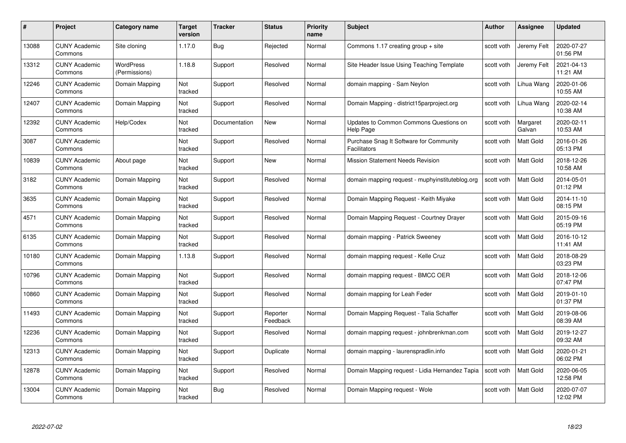| #     | Project                         | Category name                     | Target<br>version | <b>Tracker</b> | <b>Status</b>        | <b>Priority</b><br>name | <b>Subject</b>                                                 | Author     | <b>Assignee</b>    | <b>Updated</b>         |
|-------|---------------------------------|-----------------------------------|-------------------|----------------|----------------------|-------------------------|----------------------------------------------------------------|------------|--------------------|------------------------|
| 13088 | <b>CUNY Academic</b><br>Commons | Site cloning                      | 1.17.0            | <b>Bug</b>     | Rejected             | Normal                  | Commons 1.17 creating group $+$ site                           | scott voth | Jeremy Felt        | 2020-07-27<br>01:56 PM |
| 13312 | <b>CUNY Academic</b><br>Commons | <b>WordPress</b><br>(Permissions) | 1.18.8            | Support        | Resolved             | Normal                  | Site Header Issue Using Teaching Template                      | scott voth | Jeremy Felt        | 2021-04-13<br>11:21 AM |
| 12246 | <b>CUNY Academic</b><br>Commons | Domain Mapping                    | Not<br>tracked    | Support        | Resolved             | Normal                  | domain mapping - Sam Neylon                                    | scott voth | Lihua Wang         | 2020-01-06<br>10:55 AM |
| 12407 | <b>CUNY Academic</b><br>Commons | Domain Mapping                    | Not<br>tracked    | Support        | Resolved             | Normal                  | Domain Mapping - district15parproject.org                      | scott voth | Lihua Wang         | 2020-02-14<br>10:38 AM |
| 12392 | <b>CUNY Academic</b><br>Commons | Help/Codex                        | Not<br>tracked    | Documentation  | <b>New</b>           | Normal                  | Updates to Common Commons Questions on<br>Help Page            | scott voth | Margaret<br>Galvan | 2020-02-11<br>10:53 AM |
| 3087  | <b>CUNY Academic</b><br>Commons |                                   | Not<br>tracked    | Support        | Resolved             | Normal                  | Purchase Snag It Software for Community<br><b>Facilitators</b> | scott voth | Matt Gold          | 2016-01-26<br>05:13 PM |
| 10839 | <b>CUNY Academic</b><br>Commons | About page                        | Not<br>tracked    | Support        | New                  | Normal                  | <b>Mission Statement Needs Revision</b>                        | scott voth | Matt Gold          | 2018-12-26<br>10:58 AM |
| 3182  | <b>CUNY Academic</b><br>Commons | Domain Mapping                    | Not<br>tracked    | Support        | Resolved             | Normal                  | domain mapping request - muphyinstituteblog.org                | scott voth | Matt Gold          | 2014-05-01<br>01:12 PM |
| 3635  | <b>CUNY Academic</b><br>Commons | Domain Mapping                    | Not<br>tracked    | Support        | Resolved             | Normal                  | Domain Mapping Request - Keith Miyake                          | scott voth | <b>Matt Gold</b>   | 2014-11-10<br>08:15 PM |
| 4571  | <b>CUNY Academic</b><br>Commons | Domain Mapping                    | Not<br>tracked    | Support        | Resolved             | Normal                  | Domain Mapping Request - Courtney Drayer                       | scott voth | Matt Gold          | 2015-09-16<br>05:19 PM |
| 6135  | <b>CUNY Academic</b><br>Commons | Domain Mapping                    | Not<br>tracked    | Support        | Resolved             | Normal                  | domain mapping - Patrick Sweeney                               | scott voth | Matt Gold          | 2016-10-12<br>11:41 AM |
| 10180 | <b>CUNY Academic</b><br>Commons | Domain Mapping                    | 1.13.8            | Support        | Resolved             | Normal                  | domain mapping request - Kelle Cruz                            | scott voth | Matt Gold          | 2018-08-29<br>03:23 PM |
| 10796 | <b>CUNY Academic</b><br>Commons | Domain Mapping                    | Not<br>tracked    | Support        | Resolved             | Normal                  | domain mapping request - BMCC OER                              | scott voth | Matt Gold          | 2018-12-06<br>07:47 PM |
| 10860 | <b>CUNY Academic</b><br>Commons | Domain Mapping                    | Not<br>tracked    | Support        | Resolved             | Normal                  | domain mapping for Leah Feder                                  | scott voth | Matt Gold          | 2019-01-10<br>01:37 PM |
| 11493 | <b>CUNY Academic</b><br>Commons | Domain Mapping                    | Not<br>tracked    | Support        | Reporter<br>Feedback | Normal                  | Domain Mapping Request - Talia Schaffer                        | scott voth | Matt Gold          | 2019-08-06<br>08:39 AM |
| 12236 | <b>CUNY Academic</b><br>Commons | Domain Mapping                    | Not<br>tracked    | Support        | Resolved             | Normal                  | domain mapping request - johnbrenkman.com                      | scott voth | Matt Gold          | 2019-12-27<br>09:32 AM |
| 12313 | <b>CUNY Academic</b><br>Commons | Domain Mapping                    | Not<br>tracked    | Support        | Duplicate            | Normal                  | domain mapping - laurenspradlin.info                           | scott voth | <b>Matt Gold</b>   | 2020-01-21<br>06:02 PM |
| 12878 | <b>CUNY Academic</b><br>Commons | Domain Mapping                    | Not<br>tracked    | Support        | Resolved             | Normal                  | Domain Mapping request - Lidia Hernandez Tapia                 | scott voth | Matt Gold          | 2020-06-05<br>12:58 PM |
| 13004 | CUNY Academic<br>Commons        | Domain Mapping                    | Not<br>tracked    | Bug            | Resolved             | Normal                  | Domain Mapping request - Wole                                  | scott voth | <b>Matt Gold</b>   | 2020-07-07<br>12:02 PM |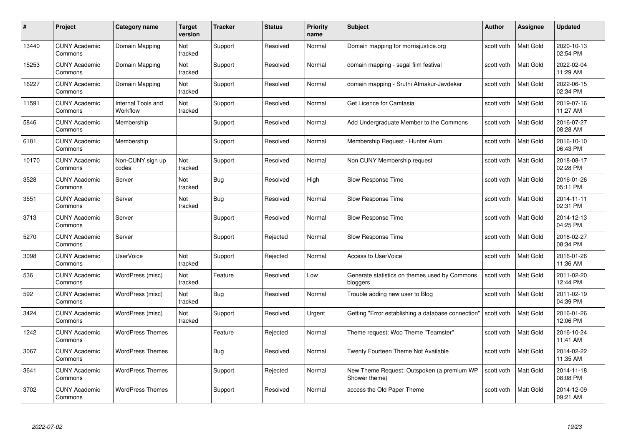| #     | Project                         | Category name                  | Target<br>version | <b>Tracker</b> | <b>Status</b> | <b>Priority</b><br>name | <b>Subject</b>                                              | <b>Author</b> | <b>Assignee</b>  | <b>Updated</b>         |
|-------|---------------------------------|--------------------------------|-------------------|----------------|---------------|-------------------------|-------------------------------------------------------------|---------------|------------------|------------------------|
| 13440 | <b>CUNY Academic</b><br>Commons | Domain Mapping                 | Not<br>tracked    | Support        | Resolved      | Normal                  | Domain mapping for morrisjustice.org                        | scott voth    | <b>Matt Gold</b> | 2020-10-13<br>02:54 PM |
| 15253 | <b>CUNY Academic</b><br>Commons | Domain Mapping                 | Not<br>tracked    | Support        | Resolved      | Normal                  | domain mapping - segal film festival                        | scott voth    | Matt Gold        | 2022-02-04<br>11:29 AM |
| 16227 | <b>CUNY Academic</b><br>Commons | Domain Mapping                 | Not<br>tracked    | Support        | Resolved      | Normal                  | domain mapping - Sruthi Atmakur-Javdekar                    | scott voth    | Matt Gold        | 2022-06-15<br>02:34 PM |
| 11591 | <b>CUNY Academic</b><br>Commons | Internal Tools and<br>Workflow | Not<br>tracked    | Support        | Resolved      | Normal                  | Get Licence for Camtasia                                    | scott voth    | Matt Gold        | 2019-07-16<br>11:27 AM |
| 5846  | <b>CUNY Academic</b><br>Commons | Membership                     |                   | Support        | Resolved      | Normal                  | Add Undergraduate Member to the Commons                     | scott voth    | <b>Matt Gold</b> | 2016-07-27<br>08:28 AM |
| 6181  | <b>CUNY Academic</b><br>Commons | Membership                     |                   | Support        | Resolved      | Normal                  | Membership Request - Hunter Alum                            | scott voth    | Matt Gold        | 2016-10-10<br>06:43 PM |
| 10170 | <b>CUNY Academic</b><br>Commons | Non-CUNY sign up<br>codes      | Not<br>tracked    | Support        | Resolved      | Normal                  | Non CUNY Membership request                                 | scott voth    | Matt Gold        | 2018-08-17<br>02:28 PM |
| 3528  | <b>CUNY Academic</b><br>Commons | Server                         | Not<br>tracked    | <b>Bug</b>     | Resolved      | High                    | Slow Response Time                                          | scott voth    | Matt Gold        | 2016-01-26<br>05:11 PM |
| 3551  | <b>CUNY Academic</b><br>Commons | Server                         | Not<br>tracked    | <b>Bug</b>     | Resolved      | Normal                  | Slow Response Time                                          | scott voth    | Matt Gold        | 2014-11-11<br>02:31 PM |
| 3713  | <b>CUNY Academic</b><br>Commons | Server                         |                   | Support        | Resolved      | Normal                  | Slow Response Time                                          | scott voth    | Matt Gold        | 2014-12-13<br>04:25 PM |
| 5270  | <b>CUNY Academic</b><br>Commons | Server                         |                   | Support        | Rejected      | Normal                  | Slow Response Time                                          | scott voth    | Matt Gold        | 2016-02-27<br>08:34 PM |
| 3098  | <b>CUNY Academic</b><br>Commons | <b>UserVoice</b>               | Not<br>tracked    | Support        | Rejected      | Normal                  | Access to UserVoice                                         | scott voth    | Matt Gold        | 2016-01-26<br>11:36 AM |
| 536   | <b>CUNY Academic</b><br>Commons | WordPress (misc)               | Not<br>tracked    | Feature        | Resolved      | Low                     | Generate statistics on themes used by Commons<br>bloggers   | scott voth    | <b>Matt Gold</b> | 2011-02-20<br>12:44 PM |
| 592   | <b>CUNY Academic</b><br>Commons | WordPress (misc)               | Not<br>tracked    | Bug            | Resolved      | Normal                  | Trouble adding new user to Blog                             | scott voth    | Matt Gold        | 2011-02-19<br>04:39 PM |
| 3424  | <b>CUNY Academic</b><br>Commons | WordPress (misc)               | Not<br>tracked    | Support        | Resolved      | Urgent                  | Getting "Error establishing a database connection'          | scott voth    | Matt Gold        | 2016-01-26<br>12:06 PM |
| 1242  | <b>CUNY Academic</b><br>Commons | <b>WordPress Themes</b>        |                   | Feature        | Rejected      | Normal                  | Theme request: Woo Theme "Teamster"                         | scott voth    | <b>Matt Gold</b> | 2016-10-24<br>11:41 AM |
| 3067  | <b>CUNY Academic</b><br>Commons | <b>WordPress Themes</b>        |                   | Bug            | Resolved      | Normal                  | Twenty Fourteen Theme Not Available                         | scott voth    | <b>Matt Gold</b> | 2014-02-22<br>11:35 AM |
| 3641  | <b>CUNY Academic</b><br>Commons | <b>WordPress Themes</b>        |                   | Support        | Rejected      | Normal                  | New Theme Request: Outspoken (a premium WP<br>Shower theme) | scott voth    | Matt Gold        | 2014-11-18<br>08:08 PM |
| 3702  | CUNY Academic<br>Commons        | <b>WordPress Themes</b>        |                   | Support        | Resolved      | Normal                  | access the Old Paper Theme                                  | scott voth    | <b>Matt Gold</b> | 2014-12-09<br>09:21 AM |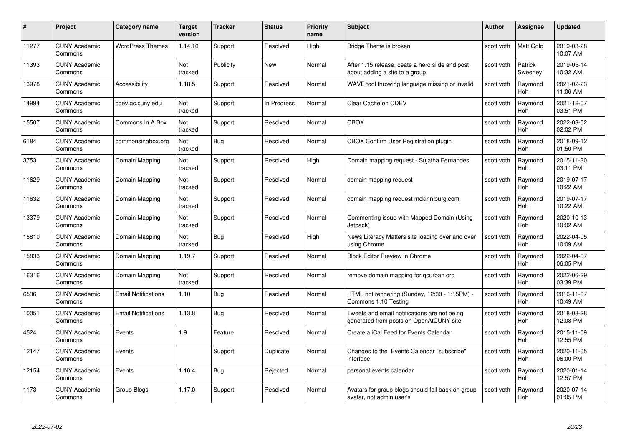| #     | Project                         | <b>Category name</b>       | Target<br>version | <b>Tracker</b> | <b>Status</b> | <b>Priority</b><br>name | <b>Subject</b>                                                                          | <b>Author</b> | Assignee              | <b>Updated</b>         |
|-------|---------------------------------|----------------------------|-------------------|----------------|---------------|-------------------------|-----------------------------------------------------------------------------------------|---------------|-----------------------|------------------------|
| 11277 | <b>CUNY Academic</b><br>Commons | <b>WordPress Themes</b>    | 1.14.10           | Support        | Resolved      | High                    | Bridge Theme is broken                                                                  | scott voth    | <b>Matt Gold</b>      | 2019-03-28<br>10:07 AM |
| 11393 | <b>CUNY Academic</b><br>Commons |                            | Not<br>tracked    | Publicity      | New           | Normal                  | After 1.15 release, ceate a hero slide and post<br>about adding a site to a group       | scott voth    | Patrick<br>Sweeney    | 2019-05-14<br>10:32 AM |
| 13978 | <b>CUNY Academic</b><br>Commons | Accessibility              | 1.18.5            | Support        | Resolved      | Normal                  | WAVE tool throwing language missing or invalid                                          | scott voth    | Raymond<br>Hoh        | 2021-02-23<br>11:06 AM |
| 14994 | <b>CUNY Academic</b><br>Commons | cdev.gc.cuny.edu           | Not<br>tracked    | Support        | In Progress   | Normal                  | Clear Cache on CDEV                                                                     | scott voth    | Raymond<br><b>Hoh</b> | 2021-12-07<br>03:51 PM |
| 15507 | <b>CUNY Academic</b><br>Commons | Commons In A Box           | Not<br>tracked    | Support        | Resolved      | Normal                  | <b>CBOX</b>                                                                             | scott voth    | Raymond<br>Hoh        | 2022-03-02<br>02:02 PM |
| 6184  | <b>CUNY Academic</b><br>Commons | commonsinabox.org          | Not<br>tracked    | Bug            | Resolved      | Normal                  | CBOX Confirm User Registration plugin                                                   | scott voth    | Raymond<br>Hoh        | 2018-09-12<br>01:50 PM |
| 3753  | <b>CUNY Academic</b><br>Commons | Domain Mapping             | Not<br>tracked    | Support        | Resolved      | High                    | Domain mapping request - Sujatha Fernandes                                              | scott voth    | Raymond<br>Hoh        | 2015-11-30<br>03:11 PM |
| 11629 | <b>CUNY Academic</b><br>Commons | Domain Mapping             | Not<br>tracked    | Support        | Resolved      | Normal                  | domain mapping request                                                                  | scott voth    | Raymond<br>Hoh        | 2019-07-17<br>10:22 AM |
| 11632 | <b>CUNY Academic</b><br>Commons | Domain Mapping             | Not<br>tracked    | Support        | Resolved      | Normal                  | domain mapping request mckinniburg.com                                                  | scott voth    | Raymond<br><b>Hoh</b> | 2019-07-17<br>10:22 AM |
| 13379 | <b>CUNY Academic</b><br>Commons | Domain Mapping             | Not<br>tracked    | Support        | Resolved      | Normal                  | Commenting issue with Mapped Domain (Using<br>Jetpack)                                  | scott voth    | Raymond<br>Hoh        | 2020-10-13<br>10:02 AM |
| 15810 | <b>CUNY Academic</b><br>Commons | Domain Mapping             | Not<br>tracked    | <b>Bug</b>     | Resolved      | High                    | News Literacy Matters site loading over and over<br>using Chrome                        | scott voth    | Raymond<br>Hoh        | 2022-04-05<br>10:09 AM |
| 15833 | <b>CUNY Academic</b><br>Commons | Domain Mapping             | 1.19.7            | Support        | Resolved      | Normal                  | <b>Block Editor Preview in Chrome</b>                                                   | scott voth    | Raymond<br><b>Hoh</b> | 2022-04-07<br>06:05 PM |
| 16316 | <b>CUNY Academic</b><br>Commons | Domain Mapping             | Not<br>tracked    | Support        | Resolved      | Normal                  | remove domain mapping for gcurban.org                                                   | scott voth    | Raymond<br>Hoh        | 2022-06-29<br>03:39 PM |
| 6536  | <b>CUNY Academic</b><br>Commons | <b>Email Notifications</b> | 1.10              | <b>Bug</b>     | Resolved      | Normal                  | HTML not rendering (Sunday, 12:30 - 1:15PM) -<br>Commons 1.10 Testing                   | scott voth    | Raymond<br>Hoh        | 2016-11-07<br>10:49 AM |
| 10051 | <b>CUNY Academic</b><br>Commons | <b>Email Notifications</b> | 1.13.8            | Bug            | Resolved      | Normal                  | Tweets and email notifications are not being<br>generated from posts on OpenAtCUNY site | scott voth    | Raymond<br>Hoh        | 2018-08-28<br>12:08 PM |
| 4524  | <b>CUNY Academic</b><br>Commons | Events                     | 1.9               | Feature        | Resolved      | Normal                  | Create a iCal Feed for Events Calendar                                                  | scott voth    | Raymond<br><b>Hoh</b> | 2015-11-09<br>12:55 PM |
| 12147 | <b>CUNY Academic</b><br>Commons | Events                     |                   | Support        | Duplicate     | Normal                  | Changes to the Events Calendar "subscribe"<br>interface                                 | scott voth    | Raymond<br><b>Hoh</b> | 2020-11-05<br>06:00 PM |
| 12154 | <b>CUNY Academic</b><br>Commons | Events                     | 1.16.4            | Bug            | Rejected      | Normal                  | personal events calendar                                                                | scott voth    | Raymond<br>Hoh        | 2020-01-14<br>12:57 PM |
| 1173  | CUNY Academic<br>Commons        | Group Blogs                | 1.17.0            | Support        | Resolved      | Normal                  | Avatars for group blogs should fall back on group<br>avatar, not admin user's           | scott voth    | Raymond<br>Hoh        | 2020-07-14<br>01:05 PM |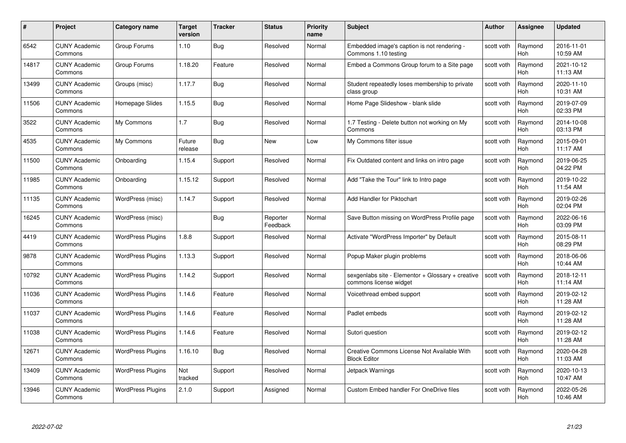| #     | Project                         | <b>Category name</b>     | Target<br>version | <b>Tracker</b> | <b>Status</b>        | <b>Priority</b><br>name | <b>Subject</b>                                                              | <b>Author</b> | <b>Assignee</b>       | <b>Updated</b>         |
|-------|---------------------------------|--------------------------|-------------------|----------------|----------------------|-------------------------|-----------------------------------------------------------------------------|---------------|-----------------------|------------------------|
| 6542  | <b>CUNY Academic</b><br>Commons | Group Forums             | 1.10              | Bug            | Resolved             | Normal                  | Embedded image's caption is not rendering -<br>Commons 1.10 testing         | scott voth    | Raymond<br><b>Hoh</b> | 2016-11-01<br>10:59 AM |
| 14817 | <b>CUNY Academic</b><br>Commons | Group Forums             | 1.18.20           | Feature        | Resolved             | Normal                  | Embed a Commons Group forum to a Site page                                  | scott voth    | Raymond<br><b>Hoh</b> | 2021-10-12<br>11:13 AM |
| 13499 | <b>CUNY Academic</b><br>Commons | Groups (misc)            | 1.17.7            | Bug            | Resolved             | Normal                  | Student repeatedly loses membership to private<br>class group               | scott voth    | Raymond<br>Hoh        | 2020-11-10<br>10:31 AM |
| 11506 | <b>CUNY Academic</b><br>Commons | Homepage Slides          | 1.15.5            | Bug            | Resolved             | Normal                  | Home Page Slideshow - blank slide                                           | scott voth    | Raymond<br>Hoh        | 2019-07-09<br>02:33 PM |
| 3522  | CUNY Academic<br>Commons        | My Commons               | 1.7               | Bug            | Resolved             | Normal                  | 1.7 Testing - Delete button not working on My<br>Commons                    | scott voth    | Raymond<br>Hoh        | 2014-10-08<br>03:13 PM |
| 4535  | <b>CUNY Academic</b><br>Commons | My Commons               | Future<br>release | <b>Bug</b>     | <b>New</b>           | Low                     | My Commons filter issue                                                     | scott voth    | Raymond<br>Hoh        | 2015-09-01<br>11:17 AM |
| 11500 | <b>CUNY Academic</b><br>Commons | Onboarding               | 1.15.4            | Support        | Resolved             | Normal                  | Fix Outdated content and links on intro page                                | scott voth    | Raymond<br>Hoh        | 2019-06-25<br>04:22 PM |
| 11985 | <b>CUNY Academic</b><br>Commons | Onboarding               | 1.15.12           | Support        | Resolved             | Normal                  | Add "Take the Tour" link to Intro page                                      | scott voth    | Raymond<br><b>Hoh</b> | 2019-10-22<br>11:54 AM |
| 11135 | <b>CUNY Academic</b><br>Commons | WordPress (misc)         | 1.14.7            | Support        | Resolved             | Normal                  | Add Handler for Piktochart                                                  | scott voth    | Raymond<br>Hoh        | 2019-02-26<br>02:04 PM |
| 16245 | <b>CUNY Academic</b><br>Commons | WordPress (misc)         |                   | Bug            | Reporter<br>Feedback | Normal                  | Save Button missing on WordPress Profile page                               | scott voth    | Raymond<br>Hoh        | 2022-06-16<br>03:09 PM |
| 4419  | CUNY Academic<br>Commons        | <b>WordPress Plugins</b> | 1.8.8             | Support        | Resolved             | Normal                  | Activate "WordPress Importer" by Default                                    | scott voth    | Raymond<br><b>Hoh</b> | 2015-08-11<br>08:29 PM |
| 9878  | <b>CUNY Academic</b><br>Commons | <b>WordPress Plugins</b> | 1.13.3            | Support        | Resolved             | Normal                  | Popup Maker plugin problems                                                 | scott voth    | Raymond<br>Hoh        | 2018-06-06<br>10:44 AM |
| 10792 | <b>CUNY Academic</b><br>Commons | <b>WordPress Plugins</b> | 1.14.2            | Support        | Resolved             | Normal                  | sexgenlabs site - Elementor + Glossary + creative<br>commons license widget | scott voth    | Raymond<br>Hoh        | 2018-12-11<br>11:14 AM |
| 11036 | <b>CUNY Academic</b><br>Commons | <b>WordPress Plugins</b> | 1.14.6            | Feature        | Resolved             | Normal                  | Voicethread embed support                                                   | scott voth    | Raymond<br>Hoh        | 2019-02-12<br>11:28 AM |
| 11037 | <b>CUNY Academic</b><br>Commons | <b>WordPress Plugins</b> | 1.14.6            | Feature        | Resolved             | Normal                  | Padlet embeds                                                               | scott voth    | Raymond<br>Hoh        | 2019-02-12<br>11:28 AM |
| 11038 | <b>CUNY Academic</b><br>Commons | <b>WordPress Plugins</b> | 1.14.6            | Feature        | Resolved             | Normal                  | Sutori question                                                             | scott voth    | Raymond<br>Hoh        | 2019-02-12<br>11:28 AM |
| 12671 | <b>CUNY Academic</b><br>Commons | <b>WordPress Plugins</b> | 1.16.10           | Bug            | Resolved             | Normal                  | Creative Commons License Not Available With<br><b>Block Editor</b>          | scott voth    | Raymond<br><b>Hoh</b> | 2020-04-28<br>11:03 AM |
| 13409 | <b>CUNY Academic</b><br>Commons | <b>WordPress Plugins</b> | Not<br>tracked    | Support        | Resolved             | Normal                  | Jetpack Warnings                                                            | scott voth    | Raymond<br>Hoh        | 2020-10-13<br>10:47 AM |
| 13946 | CUNY Academic<br>Commons        | <b>WordPress Plugins</b> | 2.1.0             | Support        | Assigned             | Normal                  | <b>Custom Embed handler For OneDrive files</b>                              | scott voth    | Raymond<br>Hoh        | 2022-05-26<br>10:46 AM |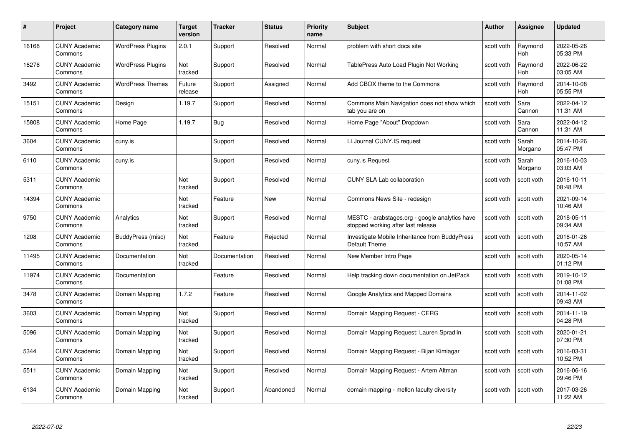| #     | Project                         | <b>Category name</b>     | Target<br>version | <b>Tracker</b> | <b>Status</b> | <b>Priority</b><br>name | <b>Subject</b>                                                                       | <b>Author</b> | <b>Assignee</b>       | <b>Updated</b>         |
|-------|---------------------------------|--------------------------|-------------------|----------------|---------------|-------------------------|--------------------------------------------------------------------------------------|---------------|-----------------------|------------------------|
| 16168 | <b>CUNY Academic</b><br>Commons | <b>WordPress Plugins</b> | 2.0.1             | Support        | Resolved      | Normal                  | problem with short docs site                                                         | scott voth    | Raymond<br><b>Hoh</b> | 2022-05-26<br>05:33 PM |
| 16276 | <b>CUNY Academic</b><br>Commons | <b>WordPress Plugins</b> | Not<br>tracked    | Support        | Resolved      | Normal                  | TablePress Auto Load Plugin Not Working                                              | scott voth    | Raymond<br><b>Hoh</b> | 2022-06-22<br>03:05 AM |
| 3492  | <b>CUNY Academic</b><br>Commons | <b>WordPress Themes</b>  | Future<br>release | Support        | Assigned      | Normal                  | Add CBOX theme to the Commons                                                        | scott voth    | Raymond<br>Hoh        | 2014-10-08<br>05:55 PM |
| 15151 | <b>CUNY Academic</b><br>Commons | Design                   | 1.19.7            | Support        | Resolved      | Normal                  | Commons Main Navigation does not show which<br>tab you are on                        | scott voth    | Sara<br>Cannon        | 2022-04-12<br>11:31 AM |
| 15808 | <b>CUNY Academic</b><br>Commons | Home Page                | 1.19.7            | <b>Bug</b>     | Resolved      | Normal                  | Home Page "About" Dropdown                                                           | scott voth    | Sara<br>Cannon        | 2022-04-12<br>11:31 AM |
| 3604  | <b>CUNY Academic</b><br>Commons | cuny.is                  |                   | Support        | Resolved      | Normal                  | LLJournal CUNY.IS request                                                            | scott voth    | Sarah<br>Morgano      | 2014-10-26<br>05:47 PM |
| 6110  | <b>CUNY Academic</b><br>Commons | cuny.is                  |                   | Support        | Resolved      | Normal                  | cuny.is Request                                                                      | scott voth    | Sarah<br>Morgano      | 2016-10-03<br>03:03 AM |
| 5311  | <b>CUNY Academic</b><br>Commons |                          | Not<br>tracked    | Support        | Resolved      | Normal                  | <b>CUNY SLA Lab collaboration</b>                                                    | scott voth    | scott voth            | 2016-10-11<br>08:48 PM |
| 14394 | <b>CUNY Academic</b><br>Commons |                          | Not<br>tracked    | Feature        | New           | Normal                  | Commons News Site - redesign                                                         | scott voth    | scott voth            | 2021-09-14<br>10:46 AM |
| 9750  | <b>CUNY Academic</b><br>Commons | Analytics                | Not<br>tracked    | Support        | Resolved      | Normal                  | MESTC - arabstages.org - google analytics have<br>stopped working after last release | scott voth    | scott voth            | 2018-05-11<br>09:34 AM |
| 1208  | CUNY Academic<br>Commons        | BuddyPress (misc)        | Not<br>tracked    | Feature        | Rejected      | Normal                  | Investigate Mobile Inheritance from BuddyPress<br>Default Theme                      | scott voth    | scott voth            | 2016-01-26<br>10:57 AM |
| 11495 | <b>CUNY Academic</b><br>Commons | Documentation            | Not<br>tracked    | Documentation  | Resolved      | Normal                  | New Member Intro Page                                                                | scott voth    | scott voth            | 2020-05-14<br>01:12 PM |
| 11974 | <b>CUNY Academic</b><br>Commons | Documentation            |                   | Feature        | Resolved      | Normal                  | Help tracking down documentation on JetPack                                          | scott voth    | scott voth            | 2019-10-12<br>01:08 PM |
| 3478  | <b>CUNY Academic</b><br>Commons | Domain Mapping           | 1.7.2             | Feature        | Resolved      | Normal                  | Google Analytics and Mapped Domains                                                  | scott voth    | scott voth            | 2014-11-02<br>09:43 AM |
| 3603  | <b>CUNY Academic</b><br>Commons | Domain Mapping           | Not<br>tracked    | Support        | Resolved      | Normal                  | Domain Mapping Request - CERG                                                        | scott voth    | scott voth            | 2014-11-19<br>04:28 PM |
| 5096  | <b>CUNY Academic</b><br>Commons | Domain Mapping           | Not<br>tracked    | Support        | Resolved      | Normal                  | Domain Mapping Request: Lauren Spradlin                                              | scott voth    | scott voth            | 2020-01-21<br>07:30 PM |
| 5344  | <b>CUNY Academic</b><br>Commons | Domain Mapping           | Not<br>tracked    | Support        | Resolved      | Normal                  | Domain Mapping Request - Bijan Kimiagar                                              | scott voth    | scott voth            | 2016-03-31<br>10:52 PM |
| 5511  | <b>CUNY Academic</b><br>Commons | Domain Mapping           | Not<br>tracked    | Support        | Resolved      | Normal                  | Domain Mapping Request - Artem Altman                                                | scott voth    | scott voth            | 2016-06-16<br>09:46 PM |
| 6134  | CUNY Academic<br>Commons        | Domain Mapping           | Not<br>tracked    | Support        | Abandoned     | Normal                  | domain mapping - mellon faculty diversity                                            | scott voth    | scott voth            | 2017-03-26<br>11:22 AM |